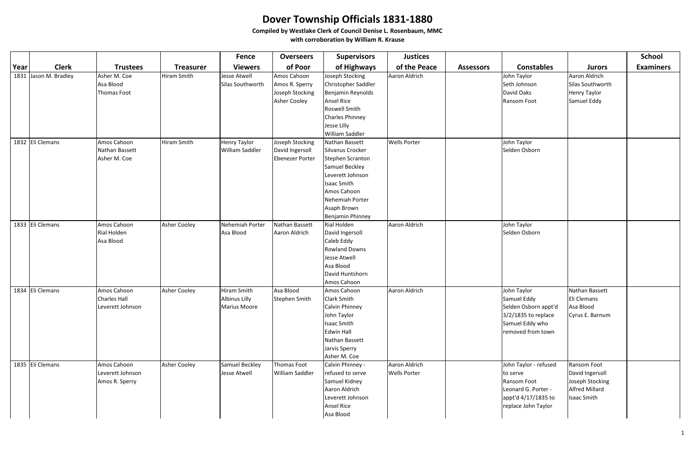|      |                       |                                  |                     | <b>Fence</b>           | <b>Overseers</b>       | <b>Supervisors</b>                   | <b>Justices</b>     |                  |                                     |                          | <b>School</b>    |
|------|-----------------------|----------------------------------|---------------------|------------------------|------------------------|--------------------------------------|---------------------|------------------|-------------------------------------|--------------------------|------------------|
| Year | <b>Clerk</b>          | <b>Trustees</b>                  | <b>Treasurer</b>    | <b>Viewers</b>         | of Poor                | of Highways                          | of the Peace        | <b>Assessors</b> | <b>Constables</b>                   | <b>Jurors</b>            | <b>Examiners</b> |
|      | 1831 Jason M. Bradley | Asher M. Coe                     | <b>Hiram Smith</b>  | <b>Jesse Atwell</b>    | Amos Cahoon            | Joseph Stocking                      | Aaron Aldrich       |                  | John Taylor                         | Aaron Aldrich            |                  |
|      |                       | Asa Blood                        |                     | Silas Southworth       | Amos R. Sperry         | Christopher Saddler                  |                     |                  | Seth Johnson                        | Silas Southworth         |                  |
|      |                       | Thomas Foot                      |                     |                        | Joseph Stocking        | Benjamin Reynolds                    |                     |                  | David Oaks                          | <b>Henry Taylor</b>      |                  |
|      |                       |                                  |                     |                        | Asher Cooley           | <b>Ansel Rice</b>                    |                     |                  | Ransom Foot                         | Samuel Eddy              |                  |
|      |                       |                                  |                     |                        |                        | Roswell Smith                        |                     |                  |                                     |                          |                  |
|      |                       |                                  |                     |                        |                        | Charles Phinney                      |                     |                  |                                     |                          |                  |
|      |                       |                                  |                     |                        |                        | Jesse Lilly                          |                     |                  |                                     |                          |                  |
|      |                       |                                  |                     |                        |                        | William Saddler                      |                     |                  |                                     |                          |                  |
|      | 1832 Eli Clemans      | Amos Cahoon                      | <b>Hiram Smith</b>  | <b>Henry Taylor</b>    | Joseph Stocking        | Nathan Bassett                       | <b>Wells Porter</b> |                  | John Taylor                         |                          |                  |
|      |                       | Nathan Bassett                   |                     | <b>William Saddler</b> | David Ingersoll        | Silvanus Crocker                     |                     |                  | Selden Osborn                       |                          |                  |
|      |                       | Asher M. Coe                     |                     |                        | <b>Ebenezer Porter</b> | Stephen Scranton                     |                     |                  |                                     |                          |                  |
|      |                       |                                  |                     |                        |                        | Samuel Beckley                       |                     |                  |                                     |                          |                  |
|      |                       |                                  |                     |                        |                        | Leverett Johnson                     |                     |                  |                                     |                          |                  |
|      |                       |                                  |                     |                        |                        | Isaac Smith                          |                     |                  |                                     |                          |                  |
|      |                       |                                  |                     |                        |                        | Amos Cahoon                          |                     |                  |                                     |                          |                  |
|      |                       |                                  |                     |                        |                        | Nehemiah Porter                      |                     |                  |                                     |                          |                  |
|      |                       |                                  |                     |                        |                        | Asaph Brown                          |                     |                  |                                     |                          |                  |
|      |                       |                                  |                     |                        |                        | Benjamin Phinney                     |                     |                  |                                     |                          |                  |
|      | 1833 Eli Clemans      | Amos Cahoon                      | <b>Asher Cooley</b> | Nehemiah Porter        | Nathan Bassett         | Rial Holden                          | Aaron Aldrich       |                  | John Taylor                         |                          |                  |
|      |                       | Rial Holden                      |                     | Asa Blood              | Aaron Aldrich          | David Ingersoll                      |                     |                  | Selden Osborn                       |                          |                  |
|      |                       | Asa Blood                        |                     |                        |                        | Caleb Eddy                           |                     |                  |                                     |                          |                  |
|      |                       |                                  |                     |                        |                        | <b>Rowland Downs</b>                 |                     |                  |                                     |                          |                  |
|      |                       |                                  |                     |                        |                        | Jesse Atwell                         |                     |                  |                                     |                          |                  |
|      |                       |                                  |                     |                        |                        | Asa Blood                            |                     |                  |                                     |                          |                  |
|      |                       |                                  |                     |                        |                        | David Huntshorn                      |                     |                  |                                     |                          |                  |
|      |                       |                                  |                     |                        |                        | Amos Cahoon                          |                     |                  |                                     |                          |                  |
|      | 1834 Eli Clemans      | Amos Cahoon                      | <b>Asher Cooley</b> | Hiram Smith            | Asa Blood              | Amos Cahoon                          | Aaron Aldrich       |                  | John Taylor                         | Nathan Bassett           |                  |
|      |                       | Charles Hall<br>Leverett Johnson |                     | <b>Albinus Lilly</b>   | Stephen Smith          | <b>Clark Smith</b><br>Calvin Phinney |                     |                  | Samuel Eddy<br>Selden Osborn appt'd | Eli Clemans<br>Asa Blood |                  |
|      |                       |                                  |                     | <b>Marius Moore</b>    |                        | John Taylor                          |                     |                  | $3/2/1835$ to replace               | Cyrus E. Barnum          |                  |
|      |                       |                                  |                     |                        |                        | Isaac Smith                          |                     |                  | Samuel Eddy who                     |                          |                  |
|      |                       |                                  |                     |                        |                        | Edwin Hall                           |                     |                  | removed from town                   |                          |                  |
|      |                       |                                  |                     |                        |                        | Nathan Bassett                       |                     |                  |                                     |                          |                  |
|      |                       |                                  |                     |                        |                        | Jarvis Sperry                        |                     |                  |                                     |                          |                  |
|      |                       |                                  |                     |                        |                        | Asher M. Coe                         |                     |                  |                                     |                          |                  |
|      | 1835 Eli Clemans      | Amos Cahoon                      | <b>Asher Cooley</b> | Samuel Beckley         | <b>Thomas Foot</b>     | Calvin Phinney -                     | Aaron Aldrich       |                  | John Taylor - refused               | Ransom Foot              |                  |
|      |                       | Leverett Johnson                 |                     | <b>Jesse Atwell</b>    | William Saddler        | refused to serve                     | <b>Wells Porter</b> |                  | to serve                            | David Ingersoll          |                  |
|      |                       | Amos R. Sperry                   |                     |                        |                        | Samuel Kidney                        |                     |                  | Ransom Foot                         | Joseph Stocking          |                  |
|      |                       |                                  |                     |                        |                        | Aaron Aldrich                        |                     |                  | Leonard G. Porter -                 | <b>Alfred Millard</b>    |                  |
|      |                       |                                  |                     |                        |                        | Leverett Johnson                     |                     |                  | appt'd 4/17/1835 to                 | <b>Isaac Smith</b>       |                  |
|      |                       |                                  |                     |                        |                        | <b>Ansel Rice</b>                    |                     |                  | replace John Taylor                 |                          |                  |
|      |                       |                                  |                     |                        |                        | Asa Blood                            |                     |                  |                                     |                          |                  |
|      |                       |                                  |                     |                        |                        |                                      |                     |                  |                                     |                          |                  |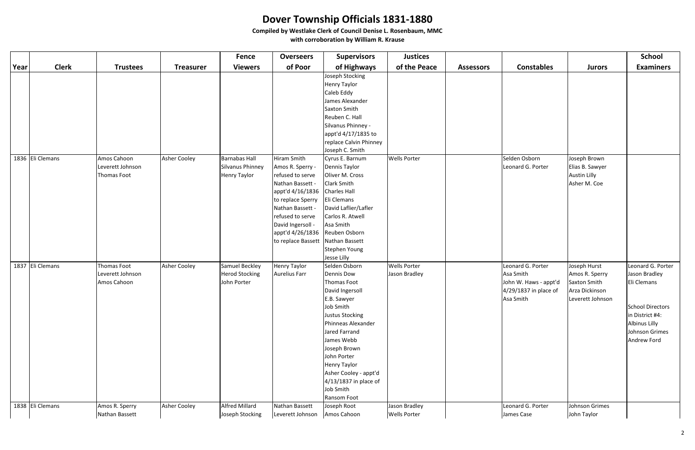|      |                  |                                                       |                     | <b>Fence</b>                                                    | <b>Overseers</b>                                                                                                                                                                                                                     | <b>Supervisors</b>                                                                                                                                                                                                                                                                                      | <b>Justices</b>                      |                  |                                                                                               |                                                                                      | <b>School</b>                                                                                                                                            |
|------|------------------|-------------------------------------------------------|---------------------|-----------------------------------------------------------------|--------------------------------------------------------------------------------------------------------------------------------------------------------------------------------------------------------------------------------------|---------------------------------------------------------------------------------------------------------------------------------------------------------------------------------------------------------------------------------------------------------------------------------------------------------|--------------------------------------|------------------|-----------------------------------------------------------------------------------------------|--------------------------------------------------------------------------------------|----------------------------------------------------------------------------------------------------------------------------------------------------------|
| Year | <b>Clerk</b>     | <b>Trustees</b>                                       | <b>Treasurer</b>    | <b>Viewers</b>                                                  | of Poor                                                                                                                                                                                                                              | of Highways                                                                                                                                                                                                                                                                                             | of the Peace                         | <b>Assessors</b> | <b>Constables</b>                                                                             | <b>Jurors</b>                                                                        | <b>Examiners</b>                                                                                                                                         |
|      |                  |                                                       |                     |                                                                 |                                                                                                                                                                                                                                      | Joseph Stocking<br>Henry Taylor<br>Caleb Eddy<br>James Alexander<br>Saxton Smith<br>Reuben C. Hall<br>Silvanus Phinney -<br>appt'd 4/17/1835 to<br>replace Calvin Phinney<br>Joseph C. Smith                                                                                                            |                                      |                  |                                                                                               |                                                                                      |                                                                                                                                                          |
|      | 1836 Eli Clemans | Amos Cahoon<br>Leverett Johnson<br>Thomas Foot        | Asher Cooley        | <b>Barnabas Hall</b><br>Silvanus Phinney<br><b>Henry Taylor</b> | Hiram Smith<br>Amos R. Sperry -<br>refused to serve<br>Nathan Bassett -<br>appt'd 4/16/1836 Charles Hall<br>to replace Sperry<br>Nathan Bassett -<br>refused to serve<br>David Ingersoll -<br>appt'd 4/26/1836<br>to replace Bassett | Cyrus E. Barnum<br>Dennis Taylor<br>Oliver M. Cross<br><b>Clark Smith</b><br>Eli Clemans<br>David Laflier/Lafler<br>Carlos R. Atwell<br>Asa Smith<br>Reuben Osborn<br>Nathan Bassett<br>Stephen Young<br>Jesse Lilly                                                                                    | <b>Wells Porter</b>                  |                  | Selden Osborn<br>Leonard G. Porter                                                            | Joseph Brown<br>Elias B. Sawyer<br><b>Austin Lilly</b><br>Asher M. Coe               |                                                                                                                                                          |
|      | 1837 Eli Clemans | <b>Thomas Foot</b><br>Leverett Johnson<br>Amos Cahoon | <b>Asher Cooley</b> | Samuel Beckley<br><b>Herod Stocking</b><br>John Porter          | Henry Taylor<br>Aurelius Farr                                                                                                                                                                                                        | Selden Osborn<br>Dennis Dow<br>Thomas Foot<br>David Ingersoll<br>E.B. Sawyer<br>Job Smith<br><b>Justus Stocking</b><br>Phinneas Alexander<br>Jared Farrand<br>James Webb<br>Joseph Brown<br>John Porter<br>Henry Taylor<br>Asher Cooley - appt'd<br>$4/13/1837$ in place of<br>Job Smith<br>Ransom Foot | <b>Wells Porter</b><br>Jason Bradley |                  | Leonard G. Porter<br>Asa Smith<br>John W. Haws - appt'd<br>4/29/1837 in place of<br>Asa Smith | Joseph Hurst<br>Amos R. Sperry<br>Saxton Smith<br>Arza Dickinson<br>Leverett Johnson | Leonard G. Porter<br>Jason Bradley<br>Eli Clemans<br><b>School Directors</b><br>in District #4:<br><b>Albinus Lilly</b><br>Johnson Grimes<br>Andrew Ford |
|      | 1838 Eli Clemans | Amos R. Sperry<br>Nathan Bassett                      | Asher Cooley        | <b>Alfred Millard</b><br>Joseph Stocking                        | Nathan Bassett<br>Leverett Johnson                                                                                                                                                                                                   | Joseph Root<br>Amos Cahoon                                                                                                                                                                                                                                                                              | Jason Bradley<br><b>Wells Porter</b> |                  | Leonard G. Porter<br>James Case                                                               | Johnson Grimes<br>John Taylor                                                        |                                                                                                                                                          |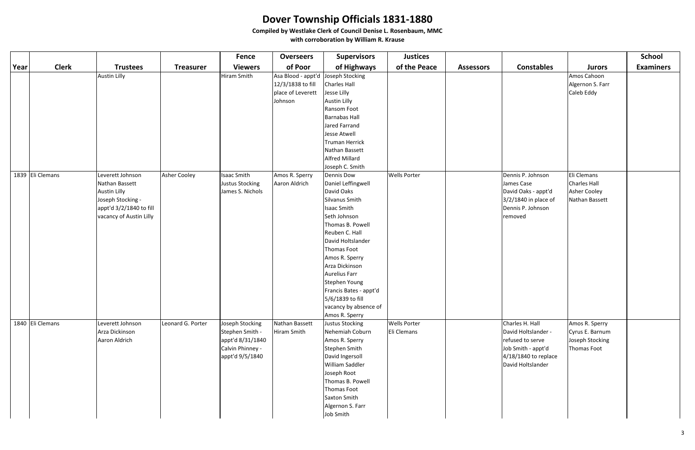|      |                  |                                                                                                                                      |                     | <b>Fence</b>                                                                                  | <b>Overseers</b>                                                                        | <b>Supervisors</b>                                                                                                                                                                                                                                                                                                                       | <b>Justices</b>                    |                  |                                                                                                                               |                                                                     | <b>School</b>    |
|------|------------------|--------------------------------------------------------------------------------------------------------------------------------------|---------------------|-----------------------------------------------------------------------------------------------|-----------------------------------------------------------------------------------------|------------------------------------------------------------------------------------------------------------------------------------------------------------------------------------------------------------------------------------------------------------------------------------------------------------------------------------------|------------------------------------|------------------|-------------------------------------------------------------------------------------------------------------------------------|---------------------------------------------------------------------|------------------|
| Year | <b>Clerk</b>     | <b>Trustees</b>                                                                                                                      | <b>Treasurer</b>    | <b>Viewers</b>                                                                                | of Poor                                                                                 | of Highways                                                                                                                                                                                                                                                                                                                              | of the Peace                       | <b>Assessors</b> | <b>Constables</b>                                                                                                             | <b>Jurors</b>                                                       | <b>Examiners</b> |
|      |                  | <b>Austin Lilly</b>                                                                                                                  |                     | Hiram Smith                                                                                   | Asa Blood - appt'd Joseph Stocking<br>12/3/1838 to fill<br>place of Leverett<br>Johnson | Charles Hall<br>Jesse Lilly<br><b>Austin Lilly</b><br>Ransom Foot<br><b>Barnabas Hall</b><br>Jared Farrand<br>Jesse Atwell<br>Truman Herrick<br>Nathan Bassett<br>Alfred Millard<br>Joseph C. Smith                                                                                                                                      |                                    |                  |                                                                                                                               | Amos Cahoon<br>Algernon S. Farr<br>Caleb Eddy                       |                  |
|      | 1839 Eli Clemans | Leverett Johnson<br>Nathan Bassett<br><b>Austin Lilly</b><br>Joseph Stocking -<br>appt'd 3/2/1840 to fill<br>vacancy of Austin Lilly | <b>Asher Cooley</b> | Isaac Smith<br>Justus Stocking<br>James S. Nichols                                            | Amos R. Sperry<br>Aaron Aldrich                                                         | Dennis Dow<br>Daniel Leffingwell<br>David Oaks<br>Silvanus Smith<br>Isaac Smith<br>Seth Johnson<br>Thomas B. Powell<br>Reuben C. Hall<br>David Holtslander<br>Thomas Foot<br>Amos R. Sperry<br>Arza Dickinson<br>Aurelius Farr<br>Stephen Young<br>Francis Bates - appt'd<br>5/6/1839 to fill<br>vacancy by absence of<br>Amos R. Sperry | <b>Wells Porter</b>                |                  | Dennis P. Johnson<br>James Case<br>David Oaks - appt'd<br>3/2/1840 in place of<br>Dennis P. Johnson<br>removed                | Eli Clemans<br>Charles Hall<br>Asher Cooley<br>Nathan Bassett       |                  |
|      | 1840 Eli Clemans | Leverett Johnson<br>Arza Dickinson<br>Aaron Aldrich                                                                                  | Leonard G. Porter   | Joseph Stocking<br>Stephen Smith -<br>appt'd 8/31/1840<br>Calvin Phinney -<br>appt'd 9/5/1840 | Nathan Bassett<br>Hiram Smith                                                           | Justus Stocking<br>Nehemiah Coburn<br>Amos R. Sperry<br>Stephen Smith<br>David Ingersoll<br>William Saddler<br>Joseph Root<br>Thomas B. Powell<br>Thomas Foot<br>Saxton Smith<br>Algernon S. Farr<br>Job Smith                                                                                                                           | <b>Wells Porter</b><br>Eli Clemans |                  | Charles H. Hall<br>David Holtslander -<br>refused to serve<br>Job Smith - appt'd<br>4/18/1840 to replace<br>David Holtslander | Amos R. Sperry<br>Cyrus E. Barnum<br>Joseph Stocking<br>Thomas Foot |                  |

|                                                                                                              |                                                                            | <b>School</b>    |
|--------------------------------------------------------------------------------------------------------------|----------------------------------------------------------------------------|------------------|
| <b>Constables</b>                                                                                            | <b>Jurors</b>                                                              | <b>Examiners</b> |
|                                                                                                              | Amos Cahoon<br>Algernon S. Farr<br>Caleb Eddy                              |                  |
| nnis P. Johnson<br>าes Case<br>vid Oaks - appt'd<br>/1840 in place of<br>nnis P. Johnson<br>าoved            | Eli Clemans<br><b>Charles Hall</b><br>Asher Cooley<br>Nathan Bassett       |                  |
| arles H. Hall<br>id Holtslander -<br>used to serve<br>Smith - appt'd<br>8/1840 to replace<br>vid Holtslander | Amos R. Sperry<br>Cyrus E. Barnum<br>Joseph Stocking<br><b>Thomas Foot</b> |                  |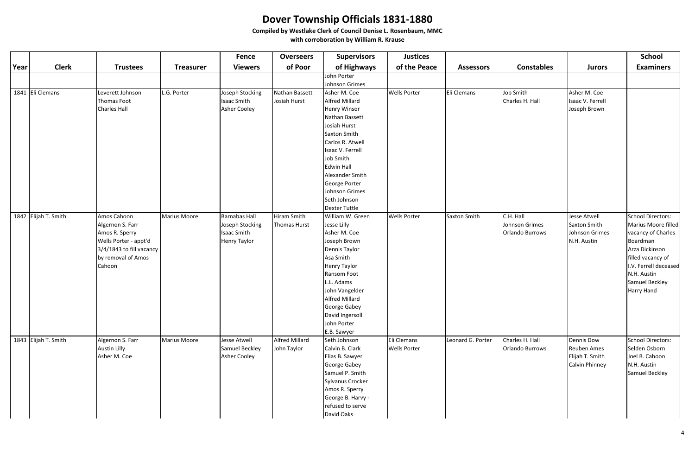|      |                      |                                                                                                                                        |                     | <b>Fence</b>                                                                         | <b>Overseers</b>                     | <b>Supervisors</b>                                                                                                                                                                                                                                                             | <b>Justices</b>                    |                     |                                                       |                                                                       | <b>School</b>                                                                                                                                                                                    |
|------|----------------------|----------------------------------------------------------------------------------------------------------------------------------------|---------------------|--------------------------------------------------------------------------------------|--------------------------------------|--------------------------------------------------------------------------------------------------------------------------------------------------------------------------------------------------------------------------------------------------------------------------------|------------------------------------|---------------------|-------------------------------------------------------|-----------------------------------------------------------------------|--------------------------------------------------------------------------------------------------------------------------------------------------------------------------------------------------|
| Year | <b>Clerk</b>         | <b>Trustees</b>                                                                                                                        | <b>Treasurer</b>    | <b>Viewers</b>                                                                       | of Poor                              | of Highways                                                                                                                                                                                                                                                                    | of the Peace                       | <b>Assessors</b>    | <b>Constables</b>                                     | <b>Jurors</b>                                                         | <b>Examiners</b>                                                                                                                                                                                 |
|      |                      |                                                                                                                                        |                     |                                                                                      |                                      | John Porter<br>Johnson Grimes                                                                                                                                                                                                                                                  |                                    |                     |                                                       |                                                                       |                                                                                                                                                                                                  |
|      | 1841 Eli Clemans     | Leverett Johnson<br>Thomas Foot<br><b>Charles Hall</b>                                                                                 | L.G. Porter         | Joseph Stocking<br><b>Isaac Smith</b><br>Asher Cooley                                | Nathan Bassett<br>Josiah Hurst       | Asher M. Coe<br><b>Alfred Millard</b><br><b>Henry Winsor</b><br>Nathan Bassett<br>Josiah Hurst<br>Saxton Smith<br>Carlos R. Atwell<br>Isaac V. Ferrell<br>Job Smith<br><b>Edwin Hall</b><br>Alexander Smith<br>George Porter<br>Johnson Grimes<br>Seth Johnson                 | <b>Wells Porter</b>                | Eli Clemans         | Job Smith<br>Charles H. Hall                          | Asher M. Coe<br>Isaac V. Ferrell<br>Joseph Brown                      |                                                                                                                                                                                                  |
|      | 1842 Elijah T. Smith | Amos Cahoon<br>Algernon S. Farr<br>Amos R. Sperry<br>Wells Porter - appt'd<br>3/4/1843 to fill vacancy<br>by removal of Amos<br>Cahoon | <b>Marius Moore</b> | <b>Barnabas Hall</b><br>Joseph Stocking<br><b>Isaac Smith</b><br><b>Henry Taylor</b> | Hiram Smith<br>Thomas Hurst          | Dexter Tuttle<br>William W. Green<br>Jesse Lilly<br>Asher M. Coe<br>Joseph Brown<br>Dennis Taylor<br>Asa Smith<br><b>Henry Taylor</b><br>Ransom Foot<br>L.L. Adams<br>John Vangelder<br><b>Alfred Millard</b><br>George Gabey<br>David Ingersoll<br>John Porter<br>E.B. Sawyer | <b>Wells Porter</b>                | <b>Saxton Smith</b> | C.H. Hall<br>Johnson Grimes<br><b>Orlando Burrows</b> | <b>Jesse Atwell</b><br>Saxton Smith<br>Johnson Grimes<br>N.H. Austin  | School Directors:<br>Marius Moore filled<br>vacancy of Charles<br>Boardman<br>Arza Dickinson<br>filled vacancy of<br>I.V. Ferrell deceased<br>N.H. Austin<br>Samuel Beckley<br><b>Harry Hand</b> |
|      | 1843 Elijah T. Smith | Algernon S. Farr<br><b>Austin Lilly</b><br>Asher M. Coe                                                                                | <b>Marius Moore</b> | Jesse Atwell<br>Samuel Beckley<br><b>Asher Cooley</b>                                | <b>Alfred Millard</b><br>John Taylor | Seth Johnson<br>Calvin B. Clark<br>Elias B. Sawyer<br>George Gabey<br>Samuel P. Smith<br>Sylvanus Crocker<br>Amos R. Sperry<br>George B. Harvy -<br>refused to serve<br>David Oaks                                                                                             | Eli Clemans<br><b>Wells Porter</b> | Leonard G. Porter   | Charles H. Hall<br>Orlando Burrows                    | Dennis Dow<br><b>Reuben Ames</b><br>Elijah T. Smith<br>Calvin Phinney | <b>School Directors:</b><br>Selden Osborn<br>Joel B. Cahoon<br>N.H. Austin<br>Samuel Beckley                                                                                                     |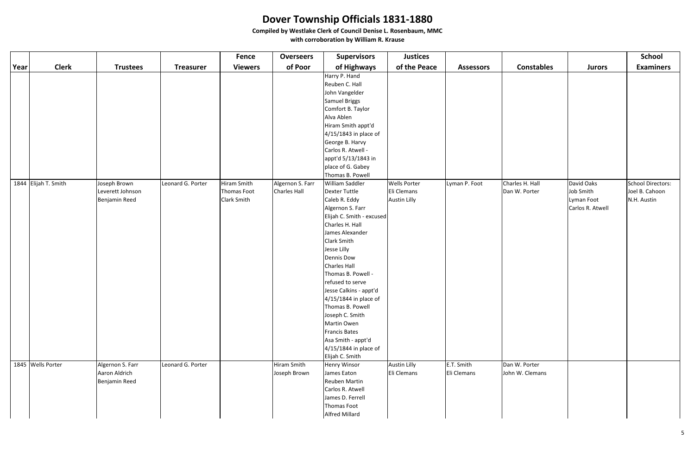|      |                      |                                                    |                   | <b>Fence</b>   | <b>Overseers</b>            | <b>Supervisors</b>                                                                                                                                     | <b>Justices</b>                    |                           |                                  |                  | <b>School</b>     |
|------|----------------------|----------------------------------------------------|-------------------|----------------|-----------------------------|--------------------------------------------------------------------------------------------------------------------------------------------------------|------------------------------------|---------------------------|----------------------------------|------------------|-------------------|
| Year | <b>Clerk</b>         | <b>Trustees</b>                                    | <b>Treasurer</b>  | <b>Viewers</b> | of Poor                     | of Highways                                                                                                                                            | of the Peace                       | <b>Assessors</b>          | <b>Constables</b>                | <b>Jurors</b>    | <b>Examiners</b>  |
|      |                      |                                                    |                   |                |                             | Harry P. Hand                                                                                                                                          |                                    |                           |                                  |                  |                   |
|      |                      |                                                    |                   |                |                             | Reuben C. Hall                                                                                                                                         |                                    |                           |                                  |                  |                   |
|      |                      |                                                    |                   |                |                             | John Vangelder                                                                                                                                         |                                    |                           |                                  |                  |                   |
|      |                      |                                                    |                   |                |                             | Samuel Briggs                                                                                                                                          |                                    |                           |                                  |                  |                   |
|      |                      |                                                    |                   |                |                             | Comfort B. Taylor                                                                                                                                      |                                    |                           |                                  |                  |                   |
|      |                      |                                                    |                   |                |                             | Alva Ablen                                                                                                                                             |                                    |                           |                                  |                  |                   |
|      |                      |                                                    |                   |                |                             | Hiram Smith appt'd                                                                                                                                     |                                    |                           |                                  |                  |                   |
|      |                      |                                                    |                   |                |                             | $4/15/1843$ in place of                                                                                                                                |                                    |                           |                                  |                  |                   |
|      |                      |                                                    |                   |                |                             | George B. Harvy                                                                                                                                        |                                    |                           |                                  |                  |                   |
|      |                      |                                                    |                   |                |                             | Carlos R. Atwell -                                                                                                                                     |                                    |                           |                                  |                  |                   |
|      |                      |                                                    |                   |                |                             | appt'd 5/13/1843 in                                                                                                                                    |                                    |                           |                                  |                  |                   |
|      |                      |                                                    |                   |                |                             | place of G. Gabey                                                                                                                                      |                                    |                           |                                  |                  |                   |
|      |                      |                                                    |                   |                |                             | Thomas B. Powell                                                                                                                                       |                                    |                           |                                  |                  |                   |
|      | 1844 Elijah T. Smith | Joseph Brown                                       | Leonard G. Porter | Hiram Smith    | Algernon S. Farr            | William Saddler                                                                                                                                        | <b>Wells Porter</b>                | Lyman P. Foot             | Charles H. Hall                  | David Oaks       | School Directors: |
|      |                      | Leverett Johnson                                   |                   | Thomas Foot    | <b>Charles Hall</b>         | Dexter Tuttle                                                                                                                                          | Eli Clemans                        |                           | Dan W. Porter                    | Job Smith        | Joel B. Cahoon    |
|      |                      | Benjamin Reed                                      |                   | Clark Smith    |                             | Caleb R. Eddy                                                                                                                                          | <b>Austin Lilly</b>                |                           |                                  | Lyman Foot       | N.H. Austin       |
|      |                      |                                                    |                   |                |                             | Algernon S. Farr                                                                                                                                       |                                    |                           |                                  | Carlos R. Atwell |                   |
|      |                      |                                                    |                   |                |                             | Elijah C. Smith - excused                                                                                                                              |                                    |                           |                                  |                  |                   |
|      |                      |                                                    |                   |                |                             | Charles H. Hall                                                                                                                                        |                                    |                           |                                  |                  |                   |
|      |                      |                                                    |                   |                |                             | James Alexander                                                                                                                                        |                                    |                           |                                  |                  |                   |
|      |                      |                                                    |                   |                |                             | Clark Smith                                                                                                                                            |                                    |                           |                                  |                  |                   |
|      |                      |                                                    |                   |                |                             | Jesse Lilly                                                                                                                                            |                                    |                           |                                  |                  |                   |
|      |                      |                                                    |                   |                |                             | Dennis Dow                                                                                                                                             |                                    |                           |                                  |                  |                   |
|      |                      |                                                    |                   |                |                             | Charles Hall                                                                                                                                           |                                    |                           |                                  |                  |                   |
|      |                      |                                                    |                   |                |                             | Thomas B. Powell -                                                                                                                                     |                                    |                           |                                  |                  |                   |
|      |                      |                                                    |                   |                |                             | refused to serve                                                                                                                                       |                                    |                           |                                  |                  |                   |
|      |                      |                                                    |                   |                |                             | Jesse Calkins - appt'd                                                                                                                                 |                                    |                           |                                  |                  |                   |
|      |                      |                                                    |                   |                |                             | $4/15/1844$ in place of                                                                                                                                |                                    |                           |                                  |                  |                   |
|      |                      |                                                    |                   |                |                             | Thomas B. Powell<br>Joseph C. Smith                                                                                                                    |                                    |                           |                                  |                  |                   |
|      |                      |                                                    |                   |                |                             | Martin Owen                                                                                                                                            |                                    |                           |                                  |                  |                   |
|      |                      |                                                    |                   |                |                             | Francis Bates                                                                                                                                          |                                    |                           |                                  |                  |                   |
|      |                      |                                                    |                   |                |                             | Asa Smith - appt'd                                                                                                                                     |                                    |                           |                                  |                  |                   |
|      |                      |                                                    |                   |                |                             | $4/15/1844$ in place of                                                                                                                                |                                    |                           |                                  |                  |                   |
|      |                      |                                                    |                   |                |                             |                                                                                                                                                        |                                    |                           |                                  |                  |                   |
|      |                      |                                                    |                   |                |                             |                                                                                                                                                        |                                    |                           |                                  |                  |                   |
|      |                      |                                                    |                   |                |                             |                                                                                                                                                        |                                    |                           |                                  |                  |                   |
|      |                      |                                                    |                   |                |                             |                                                                                                                                                        |                                    |                           |                                  |                  |                   |
|      |                      |                                                    |                   |                |                             |                                                                                                                                                        |                                    |                           |                                  |                  |                   |
|      |                      |                                                    |                   |                |                             |                                                                                                                                                        |                                    |                           |                                  |                  |                   |
|      |                      |                                                    |                   |                |                             |                                                                                                                                                        |                                    |                           |                                  |                  |                   |
|      |                      |                                                    |                   |                |                             |                                                                                                                                                        |                                    |                           |                                  |                  |                   |
|      | 1845 Wells Porter    | Algernon S. Farr<br>Aaron Aldrich<br>Benjamin Reed | Leonard G. Porter |                | Hiram Smith<br>Joseph Brown | Elijah C. Smith<br><b>Henry Winsor</b><br>James Eaton<br><b>Reuben Martin</b><br>Carlos R. Atwell<br>James D. Ferrell<br>Thomas Foot<br>Alfred Millard | <b>Austin Lilly</b><br>Eli Clemans | E.T. Smith<br>Eli Clemans | Dan W. Porter<br>John W. Clemans |                  |                   |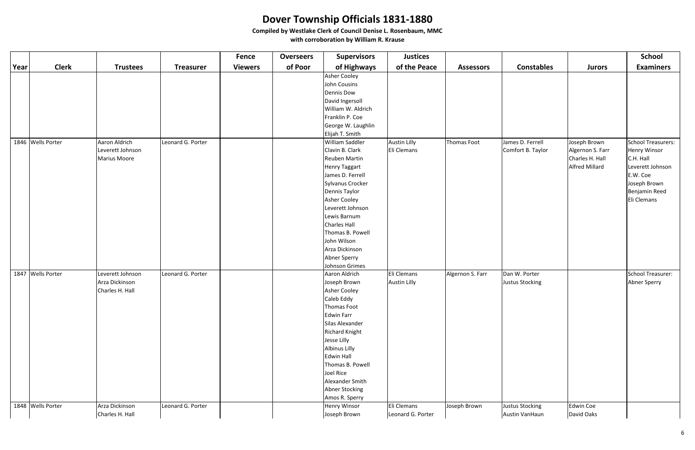|      |                   |                                                          |                   | <b>Fence</b>   | <b>Overseers</b> | <b>Supervisors</b>                                                                                                                                                                                                                                                                                                 | <b>Justices</b>                    |                  |                                          |                                                                              | <b>School</b>                                                                                                                          |
|------|-------------------|----------------------------------------------------------|-------------------|----------------|------------------|--------------------------------------------------------------------------------------------------------------------------------------------------------------------------------------------------------------------------------------------------------------------------------------------------------------------|------------------------------------|------------------|------------------------------------------|------------------------------------------------------------------------------|----------------------------------------------------------------------------------------------------------------------------------------|
| Year | <b>Clerk</b>      | <b>Trustees</b>                                          | <b>Treasurer</b>  | <b>Viewers</b> | of Poor          | of Highways                                                                                                                                                                                                                                                                                                        | of the Peace                       | <b>Assessors</b> | <b>Constables</b>                        | <b>Jurors</b>                                                                | <b>Examiners</b>                                                                                                                       |
|      |                   |                                                          |                   |                |                  | Asher Cooley<br>John Cousins<br>Dennis Dow<br>David Ingersoll<br>William W. Aldrich<br>Franklin P. Coe<br>George W. Laughlin                                                                                                                                                                                       |                                    |                  |                                          |                                                                              |                                                                                                                                        |
|      | 1846 Wells Porter | Aaron Aldrich<br>Leverett Johnson<br><b>Marius Moore</b> | Leonard G. Porter |                |                  | Elijah T. Smith<br>William Saddler<br>Clavin B. Clark<br><b>Reuben Martin</b><br>Henry Taggart<br>James D. Ferrell<br>Sylvanus Crocker<br>Dennis Taylor<br>Asher Cooley<br>Leverett Johnson<br>Lewis Barnum<br>Charles Hall<br>Thomas B. Powell<br>John Wilson<br>Arza Dickinson<br>Abner Sperry<br>Johnson Grimes | <b>Austin Lilly</b><br>Eli Clemans | Thomas Foot      | James D. Ferrell<br>Comfort B. Taylor    | Joseph Brown<br>Algernon S. Farr<br>Charles H. Hall<br><b>Alfred Millard</b> | School Treasurers:<br><b>Henry Winsor</b><br>C.H. Hall<br>Leverett Johnson<br>E.W. Coe<br>Joseph Brown<br>Benjamin Reed<br>Eli Clemans |
|      | 1847 Wells Porter | Leverett Johnson<br>Arza Dickinson<br>Charles H. Hall    | Leonard G. Porter |                |                  | Aaron Aldrich<br>Joseph Brown<br>Asher Cooley<br>Caleb Eddy<br>Thomas Foot<br>Edwin Farr<br>Silas Alexander<br><b>Richard Knight</b><br>Jesse Lilly<br>Albinus Lilly<br>Edwin Hall<br>Thomas B. Powell<br>Joel Rice<br>Alexander Smith<br>Abner Stocking<br>Amos R. Sperry                                         | Eli Clemans<br><b>Austin Lilly</b> | Algernon S. Farr | Dan W. Porter<br>Justus Stocking         |                                                                              | School Treasurer:<br>Abner Sperry                                                                                                      |
|      | 1848 Wells Porter | Arza Dickinson<br>Charles H. Hall                        | Leonard G. Porter |                |                  | Henry Winsor<br>Joseph Brown                                                                                                                                                                                                                                                                                       | Eli Clemans<br>Leonard G. Porter   | Joseph Brown     | <b>Justus Stocking</b><br>Austin VanHaun | Edwin Coe<br>David Oaks                                                      |                                                                                                                                        |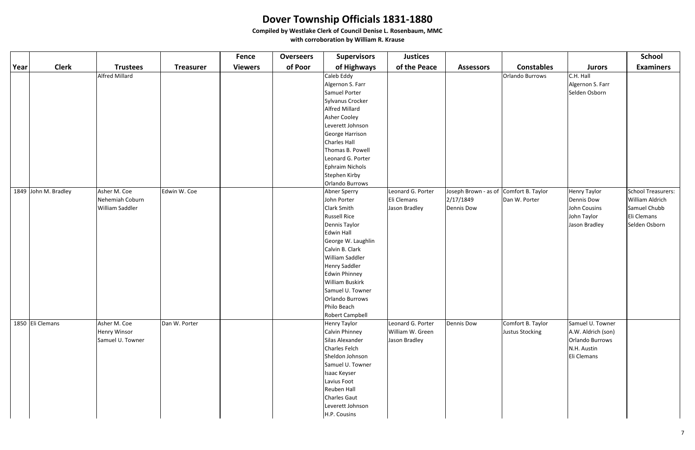|      |                      |                       |                  | <b>Fence</b>   | <b>Overseers</b> | <b>Supervisors</b>     | <b>Justices</b>   |                                        |                   |                    | <b>School</b>          |
|------|----------------------|-----------------------|------------------|----------------|------------------|------------------------|-------------------|----------------------------------------|-------------------|--------------------|------------------------|
| Year | <b>Clerk</b>         | <b>Trustees</b>       | <b>Treasurer</b> | <b>Viewers</b> | of Poor          | of Highways            | of the Peace      | <b>Assessors</b>                       | <b>Constables</b> | <b>Jurors</b>      | <b>Examiners</b>       |
|      |                      | <b>Alfred Millard</b> |                  |                |                  | Caleb Eddy             |                   |                                        | Orlando Burrows   | C.H. Hall          |                        |
|      |                      |                       |                  |                |                  | Algernon S. Farr       |                   |                                        |                   | Algernon S. Farr   |                        |
|      |                      |                       |                  |                |                  | Samuel Porter          |                   |                                        |                   | Selden Osborn      |                        |
|      |                      |                       |                  |                |                  | Sylvanus Crocker       |                   |                                        |                   |                    |                        |
|      |                      |                       |                  |                |                  | <b>Alfred Millard</b>  |                   |                                        |                   |                    |                        |
|      |                      |                       |                  |                |                  | Asher Cooley           |                   |                                        |                   |                    |                        |
|      |                      |                       |                  |                |                  | Leverett Johnson       |                   |                                        |                   |                    |                        |
|      |                      |                       |                  |                |                  | George Harrison        |                   |                                        |                   |                    |                        |
|      |                      |                       |                  |                |                  | Charles Hall           |                   |                                        |                   |                    |                        |
|      |                      |                       |                  |                |                  | Thomas B. Powell       |                   |                                        |                   |                    |                        |
|      |                      |                       |                  |                |                  | Leonard G. Porter      |                   |                                        |                   |                    |                        |
|      |                      |                       |                  |                |                  | Ephraim Nichols        |                   |                                        |                   |                    |                        |
|      |                      |                       |                  |                |                  | Stephen Kirby          |                   |                                        |                   |                    |                        |
|      |                      |                       |                  |                |                  | Orlando Burrows        |                   |                                        |                   |                    |                        |
|      | 1849 John M. Bradley | Asher M. Coe          | Edwin W. Coe     |                |                  | Abner Sperry           | Leonard G. Porter | Joseph Brown - as of Comfort B. Taylor |                   | Henry Taylor       | School Treasurers:     |
|      |                      | Nehemiah Coburn       |                  |                |                  | John Porter            | Eli Clemans       | 2/17/1849                              | Dan W. Porter     | Dennis Dow         | <b>William Aldrich</b> |
|      |                      | William Saddler       |                  |                |                  | Clark Smith            | Jason Bradley     | <b>Dennis Dow</b>                      |                   | John Cousins       | Samuel Chubb           |
|      |                      |                       |                  |                |                  | <b>Russell Rice</b>    |                   |                                        |                   | John Taylor        | Eli Clemans            |
|      |                      |                       |                  |                |                  | Dennis Taylor          |                   |                                        |                   | Jason Bradley      | Selden Osborn          |
|      |                      |                       |                  |                |                  | Edwin Hall             |                   |                                        |                   |                    |                        |
|      |                      |                       |                  |                |                  | George W. Laughlin     |                   |                                        |                   |                    |                        |
|      |                      |                       |                  |                |                  | Calvin B. Clark        |                   |                                        |                   |                    |                        |
|      |                      |                       |                  |                |                  | William Saddler        |                   |                                        |                   |                    |                        |
|      |                      |                       |                  |                |                  | Henry Saddler          |                   |                                        |                   |                    |                        |
|      |                      |                       |                  |                |                  | Edwin Phinney          |                   |                                        |                   |                    |                        |
|      |                      |                       |                  |                |                  | <b>William Buskirk</b> |                   |                                        |                   |                    |                        |
|      |                      |                       |                  |                |                  | Samuel U. Towner       |                   |                                        |                   |                    |                        |
|      |                      |                       |                  |                |                  | Orlando Burrows        |                   |                                        |                   |                    |                        |
|      |                      |                       |                  |                |                  | Philo Beach            |                   |                                        |                   |                    |                        |
|      |                      |                       |                  |                |                  | Robert Campbell        |                   |                                        |                   |                    |                        |
|      | 1850 Eli Clemans     | Asher M. Coe          | Dan W. Porter    |                |                  | Henry Taylor           | Leonard G. Porter | <b>Dennis Dow</b>                      | Comfort B. Taylor | Samuel U. Towner   |                        |
|      |                      | Henry Winsor          |                  |                |                  | Calvin Phinney         | William W. Green  |                                        | Justus Stocking   | A.W. Aldrich (son) |                        |
|      |                      | Samuel U. Towner      |                  |                |                  | Silas Alexander        | Jason Bradley     |                                        |                   | Orlando Burrows    |                        |
|      |                      |                       |                  |                |                  | Charles Felch          |                   |                                        |                   | N.H. Austin        |                        |
|      |                      |                       |                  |                |                  | Sheldon Johnson        |                   |                                        |                   | Eli Clemans        |                        |
|      |                      |                       |                  |                |                  | Samuel U. Towner       |                   |                                        |                   |                    |                        |
|      |                      |                       |                  |                |                  | Isaac Keyser           |                   |                                        |                   |                    |                        |
|      |                      |                       |                  |                |                  | Lavius Foot            |                   |                                        |                   |                    |                        |
|      |                      |                       |                  |                |                  | Reuben Hall            |                   |                                        |                   |                    |                        |
|      |                      |                       |                  |                |                  | Charles Gaut           |                   |                                        |                   |                    |                        |
|      |                      |                       |                  |                |                  | Leverett Johnson       |                   |                                        |                   |                    |                        |
|      |                      |                       |                  |                |                  | H.P. Cousins           |                   |                                        |                   |                    |                        |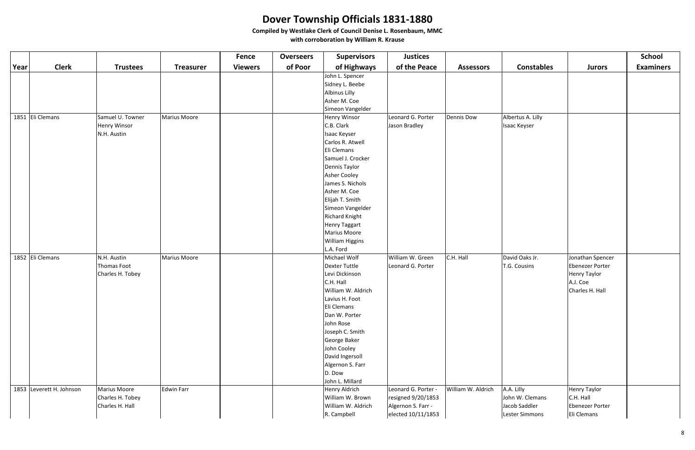|      |                          |                     |                     | <b>Fence</b>   | <b>Overseers</b> | <b>Supervisors</b>          | <b>Justices</b>     |                    |                   |                                 | <b>School</b>    |
|------|--------------------------|---------------------|---------------------|----------------|------------------|-----------------------------|---------------------|--------------------|-------------------|---------------------------------|------------------|
| Year | <b>Clerk</b>             | <b>Trustees</b>     | <b>Treasurer</b>    | <b>Viewers</b> | of Poor          | of Highways                 | of the Peace        | <b>Assessors</b>   | <b>Constables</b> | <b>Jurors</b>                   | <b>Examiners</b> |
|      |                          |                     |                     |                |                  | John L. Spencer             |                     |                    |                   |                                 |                  |
|      |                          |                     |                     |                |                  | Sidney L. Beebe             |                     |                    |                   |                                 |                  |
|      |                          |                     |                     |                |                  | <b>Albinus Lilly</b>        |                     |                    |                   |                                 |                  |
|      |                          |                     |                     |                |                  | Asher M. Coe                |                     |                    |                   |                                 |                  |
|      |                          |                     |                     |                |                  | Simeon Vangelder            |                     |                    |                   |                                 |                  |
|      | 1851 Eli Clemans         | Samuel U. Towner    | <b>Marius Moore</b> |                |                  | <b>Henry Winsor</b>         | Leonard G. Porter   | Dennis Dow         | Albertus A. Lilly |                                 |                  |
|      |                          | <b>Henry Winsor</b> |                     |                |                  | C.B. Clark                  | Jason Bradley       |                    | Isaac Keyser      |                                 |                  |
|      |                          | N.H. Austin         |                     |                |                  | Isaac Keyser                |                     |                    |                   |                                 |                  |
|      |                          |                     |                     |                |                  | Carlos R. Atwell            |                     |                    |                   |                                 |                  |
|      |                          |                     |                     |                |                  | Eli Clemans                 |                     |                    |                   |                                 |                  |
|      |                          |                     |                     |                |                  | Samuel J. Crocker           |                     |                    |                   |                                 |                  |
|      |                          |                     |                     |                |                  | Dennis Taylor               |                     |                    |                   |                                 |                  |
|      |                          |                     |                     |                |                  | Asher Cooley                |                     |                    |                   |                                 |                  |
|      |                          |                     |                     |                |                  | James S. Nichols            |                     |                    |                   |                                 |                  |
|      |                          |                     |                     |                |                  | Asher M. Coe                |                     |                    |                   |                                 |                  |
|      |                          |                     |                     |                |                  | Elijah T. Smith             |                     |                    |                   |                                 |                  |
|      |                          |                     |                     |                |                  | Simeon Vangelder            |                     |                    |                   |                                 |                  |
|      |                          |                     |                     |                |                  | <b>Richard Knight</b>       |                     |                    |                   |                                 |                  |
|      |                          |                     |                     |                |                  | <b>Henry Taggart</b>        |                     |                    |                   |                                 |                  |
|      |                          |                     |                     |                |                  | Marius Moore                |                     |                    |                   |                                 |                  |
|      |                          |                     |                     |                |                  | <b>William Higgins</b>      |                     |                    |                   |                                 |                  |
|      |                          |                     |                     |                |                  | L.A. Ford                   |                     |                    |                   |                                 |                  |
|      | 1852 Eli Clemans         | N.H. Austin         | Marius Moore        |                |                  | Michael Wolf                | William W. Green    | C.H. Hall          | David Oaks Jr.    | Jonathan Spencer                |                  |
|      |                          | Thomas Foot         |                     |                |                  | Dexter Tuttle               | Leonard G. Porter   |                    | T.G. Cousins      | <b>Ebenezer Porter</b>          |                  |
|      |                          | Charles H. Tobey    |                     |                |                  | Levi Dickinson<br>C.H. Hall |                     |                    |                   | <b>Henry Taylor</b><br>A.J. Coe |                  |
|      |                          |                     |                     |                |                  | William W. Aldrich          |                     |                    |                   | Charles H. Hall                 |                  |
|      |                          |                     |                     |                |                  | Lavius H. Foot              |                     |                    |                   |                                 |                  |
|      |                          |                     |                     |                |                  | Eli Clemans                 |                     |                    |                   |                                 |                  |
|      |                          |                     |                     |                |                  | Dan W. Porter               |                     |                    |                   |                                 |                  |
|      |                          |                     |                     |                |                  | John Rose                   |                     |                    |                   |                                 |                  |
|      |                          |                     |                     |                |                  | Joseph C. Smith             |                     |                    |                   |                                 |                  |
|      |                          |                     |                     |                |                  | George Baker                |                     |                    |                   |                                 |                  |
|      |                          |                     |                     |                |                  | John Cooley                 |                     |                    |                   |                                 |                  |
|      |                          |                     |                     |                |                  | David Ingersoll             |                     |                    |                   |                                 |                  |
|      |                          |                     |                     |                |                  | Algernon S. Farr            |                     |                    |                   |                                 |                  |
|      |                          |                     |                     |                |                  | D. Dow                      |                     |                    |                   |                                 |                  |
|      |                          |                     |                     |                |                  | John L. Millard             |                     |                    |                   |                                 |                  |
|      | 1853 Leverett H. Johnson | <b>Marius Moore</b> | <b>Edwin Farr</b>   |                |                  | Henry Aldrich               | Leonard G. Porter - | William W. Aldrich | A.A. Lilly        | <b>Henry Taylor</b>             |                  |
|      |                          | Charles H. Tobey    |                     |                |                  | William W. Brown            | resigned 9/20/1853  |                    | John W. Clemans   | C.H. Hall                       |                  |
|      |                          | Charles H. Hall     |                     |                |                  | William W. Aldrich          | Algernon S. Farr -  |                    | Jacob Saddler     | <b>Ebenezer Porter</b>          |                  |
|      |                          |                     |                     |                |                  | R. Campbell                 | elected 10/11/1853  |                    | Lester Simmons    | Eli Clemans                     |                  |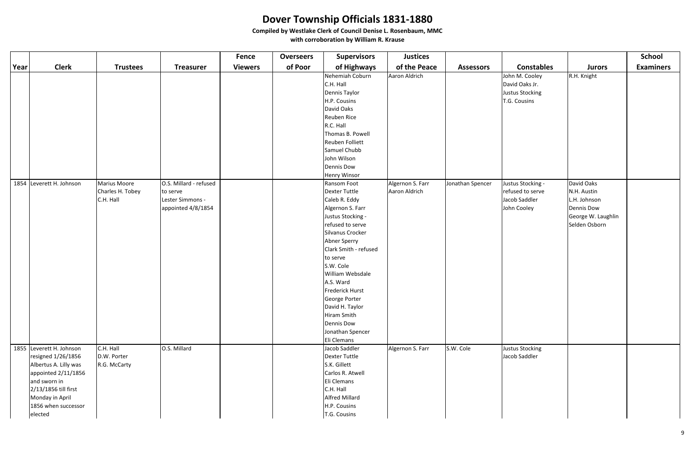|      |                          |                     |                        | <b>Fence</b>   | <b>Overseers</b> | <b>Supervisors</b>    | <b>Justices</b>  |                  |                   |                    | <b>School</b>    |
|------|--------------------------|---------------------|------------------------|----------------|------------------|-----------------------|------------------|------------------|-------------------|--------------------|------------------|
| Year | <b>Clerk</b>             | <b>Trustees</b>     | <b>Treasurer</b>       | <b>Viewers</b> | of Poor          | of Highways           | of the Peace     | <b>Assessors</b> | <b>Constables</b> | <b>Jurors</b>      | <b>Examiners</b> |
|      |                          |                     |                        |                |                  | Nehemiah Coburn       | Aaron Aldrich    |                  | John M. Cooley    | R.H. Knight        |                  |
|      |                          |                     |                        |                |                  | C.H. Hall             |                  |                  | David Oaks Jr.    |                    |                  |
|      |                          |                     |                        |                |                  | Dennis Taylor         |                  |                  | Justus Stocking   |                    |                  |
|      |                          |                     |                        |                |                  | H.P. Cousins          |                  |                  | T.G. Cousins      |                    |                  |
|      |                          |                     |                        |                |                  | David Oaks            |                  |                  |                   |                    |                  |
|      |                          |                     |                        |                |                  | Reuben Rice           |                  |                  |                   |                    |                  |
|      |                          |                     |                        |                |                  | R.C. Hall             |                  |                  |                   |                    |                  |
|      |                          |                     |                        |                |                  | Thomas B. Powell      |                  |                  |                   |                    |                  |
|      |                          |                     |                        |                |                  | Reuben Folliett       |                  |                  |                   |                    |                  |
|      |                          |                     |                        |                |                  | Samuel Chubb          |                  |                  |                   |                    |                  |
|      |                          |                     |                        |                |                  | John Wilson           |                  |                  |                   |                    |                  |
|      |                          |                     |                        |                |                  | Dennis Dow            |                  |                  |                   |                    |                  |
|      |                          |                     |                        |                |                  | <b>Henry Winsor</b>   |                  |                  |                   |                    |                  |
|      | 1854 Leverett H. Johnson | <b>Marius Moore</b> | O.S. Millard - refused |                |                  | Ransom Foot           | Algernon S. Farr | Jonathan Spencer | Justus Stocking - | David Oaks         |                  |
|      |                          | Charles H. Tobey    | to serve               |                |                  | Dexter Tuttle         | Aaron Aldrich    |                  | refused to serve  | N.H. Austin        |                  |
|      |                          | C.H. Hall           | Lester Simmons -       |                |                  | Caleb R. Eddy         |                  |                  | Jacob Saddler     | L.H. Johnson       |                  |
|      |                          |                     | appointed 4/8/1854     |                |                  | Algernon S. Farr      |                  |                  | John Cooley       | Dennis Dow         |                  |
|      |                          |                     |                        |                |                  | Justus Stocking -     |                  |                  |                   | George W. Laughlin |                  |
|      |                          |                     |                        |                |                  | refused to serve      |                  |                  |                   | Selden Osborn      |                  |
|      |                          |                     |                        |                |                  | Silvanus Crocker      |                  |                  |                   |                    |                  |
|      |                          |                     |                        |                |                  | Abner Sperry          |                  |                  |                   |                    |                  |
|      |                          |                     |                        |                |                  | Clark Smith - refused |                  |                  |                   |                    |                  |
|      |                          |                     |                        |                |                  | to serve              |                  |                  |                   |                    |                  |
|      |                          |                     |                        |                |                  | S.W. Cole             |                  |                  |                   |                    |                  |
|      |                          |                     |                        |                |                  | William Websdale      |                  |                  |                   |                    |                  |
|      |                          |                     |                        |                |                  | A.S. Ward             |                  |                  |                   |                    |                  |
|      |                          |                     |                        |                |                  | Frederick Hurst       |                  |                  |                   |                    |                  |
|      |                          |                     |                        |                |                  | George Porter         |                  |                  |                   |                    |                  |
|      |                          |                     |                        |                |                  | David H. Taylor       |                  |                  |                   |                    |                  |
|      |                          |                     |                        |                |                  | Hiram Smith           |                  |                  |                   |                    |                  |
|      |                          |                     |                        |                |                  | Dennis Dow            |                  |                  |                   |                    |                  |
|      |                          |                     |                        |                |                  | Jonathan Spencer      |                  |                  |                   |                    |                  |
|      |                          |                     |                        |                |                  | Eli Clemans           |                  |                  |                   |                    |                  |
|      | 1855 Leverett H. Johnson | C.H. Hall           | O.S. Millard           |                |                  | Jacob Saddler         | Algernon S. Farr | S.W. Cole        | Justus Stocking   |                    |                  |
|      | resigned 1/26/1856       | D.W. Porter         |                        |                |                  | Dexter Tuttle         |                  |                  | Jacob Saddler     |                    |                  |
|      | Albertus A. Lilly was    | R.G. McCarty        |                        |                |                  | S.K. Gillett          |                  |                  |                   |                    |                  |
|      | appointed 2/11/1856      |                     |                        |                |                  | Carlos R. Atwell      |                  |                  |                   |                    |                  |
|      | and sworn in             |                     |                        |                |                  | Eli Clemans           |                  |                  |                   |                    |                  |
|      | 2/13/1856 till first     |                     |                        |                |                  | C.H. Hall             |                  |                  |                   |                    |                  |
|      | Monday in April          |                     |                        |                |                  | <b>Alfred Millard</b> |                  |                  |                   |                    |                  |
|      | 1856 when successor      |                     |                        |                |                  | H.P. Cousins          |                  |                  |                   |                    |                  |
|      | elected                  |                     |                        |                |                  | T.G. Cousins          |                  |                  |                   |                    |                  |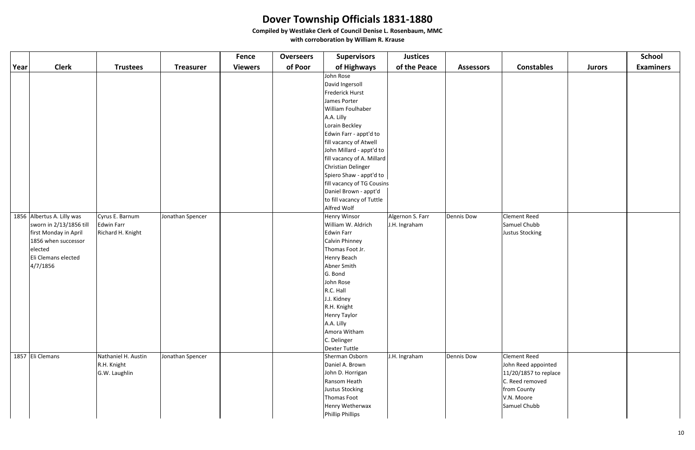|      |                            |                     |                  | Fence          | <b>Overseers</b> | <b>Supervisors</b>              | <b>Justices</b>  |                   |                       |               | <b>School</b>    |
|------|----------------------------|---------------------|------------------|----------------|------------------|---------------------------------|------------------|-------------------|-----------------------|---------------|------------------|
| Year | <b>Clerk</b>               | <b>Trustees</b>     | <b>Treasurer</b> | <b>Viewers</b> | of Poor          | of Highways                     | of the Peace     | <b>Assessors</b>  | <b>Constables</b>     | <b>Jurors</b> | <b>Examiners</b> |
|      |                            |                     |                  |                |                  | John Rose                       |                  |                   |                       |               |                  |
|      |                            |                     |                  |                |                  | David Ingersoll                 |                  |                   |                       |               |                  |
|      |                            |                     |                  |                |                  | Frederick Hurst                 |                  |                   |                       |               |                  |
|      |                            |                     |                  |                |                  | James Porter                    |                  |                   |                       |               |                  |
|      |                            |                     |                  |                |                  | William Foulhaber               |                  |                   |                       |               |                  |
|      |                            |                     |                  |                |                  | A.A. Lilly                      |                  |                   |                       |               |                  |
|      |                            |                     |                  |                |                  | Lorain Beckley                  |                  |                   |                       |               |                  |
|      |                            |                     |                  |                |                  | Edwin Farr - appt'd to          |                  |                   |                       |               |                  |
|      |                            |                     |                  |                |                  | fill vacancy of Atwell          |                  |                   |                       |               |                  |
|      |                            |                     |                  |                |                  | John Millard - appt'd to        |                  |                   |                       |               |                  |
|      |                            |                     |                  |                |                  | fill vacancy of A. Millard      |                  |                   |                       |               |                  |
|      |                            |                     |                  |                |                  | Christian Delinger              |                  |                   |                       |               |                  |
|      |                            |                     |                  |                |                  | Spiero Shaw - appt'd to         |                  |                   |                       |               |                  |
|      |                            |                     |                  |                |                  | fill vacancy of TG Cousins      |                  |                   |                       |               |                  |
|      |                            |                     |                  |                |                  | Daniel Brown - appt'd           |                  |                   |                       |               |                  |
|      |                            |                     |                  |                |                  | to fill vacancy of Tuttle       |                  |                   |                       |               |                  |
|      |                            |                     |                  |                |                  | Alfred Wolf                     |                  |                   |                       |               |                  |
|      | 1856 Albertus A. Lilly was | Cyrus E. Barnum     | Jonathan Spencer |                |                  | Henry Winsor                    | Algernon S. Farr | <b>Dennis Dow</b> | Clement Reed          |               |                  |
|      | sworn in 2/13/1856 till    | Edwin Farr          |                  |                |                  | William W. Aldrich              | J.H. Ingraham    |                   | Samuel Chubb          |               |                  |
|      | first Monday in April      | Richard H. Knight   |                  |                |                  | Edwin Farr                      |                  |                   | Justus Stocking       |               |                  |
|      | 1856 when successor        |                     |                  |                |                  | Calvin Phinney                  |                  |                   |                       |               |                  |
|      | elected                    |                     |                  |                |                  | Thomas Foot Jr.                 |                  |                   |                       |               |                  |
|      | Eli Clemans elected        |                     |                  |                |                  | Henry Beach                     |                  |                   |                       |               |                  |
|      | 4/7/1856                   |                     |                  |                |                  | Abner Smith                     |                  |                   |                       |               |                  |
|      |                            |                     |                  |                |                  | G. Bond                         |                  |                   |                       |               |                  |
|      |                            |                     |                  |                |                  | John Rose                       |                  |                   |                       |               |                  |
|      |                            |                     |                  |                |                  | R.C. Hall                       |                  |                   |                       |               |                  |
|      |                            |                     |                  |                |                  | J.J. Kidney                     |                  |                   |                       |               |                  |
|      |                            |                     |                  |                |                  | R.H. Knight                     |                  |                   |                       |               |                  |
|      |                            |                     |                  |                |                  | Henry Taylor                    |                  |                   |                       |               |                  |
|      |                            |                     |                  |                |                  | A.A. Lilly                      |                  |                   |                       |               |                  |
|      |                            |                     |                  |                |                  | Amora Witham<br>C. Delinger     |                  |                   |                       |               |                  |
|      |                            |                     |                  |                |                  |                                 |                  |                   |                       |               |                  |
|      | 1857 Eli Clemans           | Nathaniel H. Austin | Jonathan Spencer |                |                  | Dexter Tuttle<br>Sherman Osborn | J.H. Ingraham    | <b>Dennis Dow</b> | <b>Clement Reed</b>   |               |                  |
|      |                            | R.H. Knight         |                  |                |                  | Daniel A. Brown                 |                  |                   | John Reed appointed   |               |                  |
|      |                            | G.W. Laughlin       |                  |                |                  | John D. Horrigan                |                  |                   | 11/20/1857 to replace |               |                  |
|      |                            |                     |                  |                |                  | Ransom Heath                    |                  |                   | C. Reed removed       |               |                  |
|      |                            |                     |                  |                |                  | Justus Stocking                 |                  |                   | from County           |               |                  |
|      |                            |                     |                  |                |                  | Thomas Foot                     |                  |                   | V.N. Moore            |               |                  |
|      |                            |                     |                  |                |                  | Henry Wetherwax                 |                  |                   | Samuel Chubb          |               |                  |
|      |                            |                     |                  |                |                  |                                 |                  |                   |                       |               |                  |
|      |                            |                     |                  |                |                  | Phillip Phillips                |                  |                   |                       |               |                  |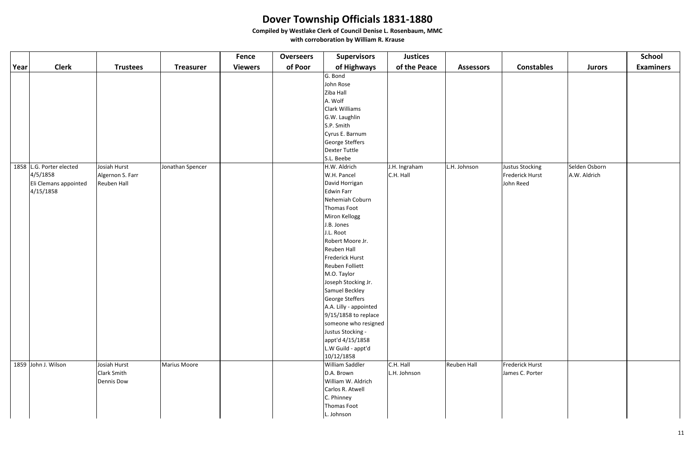|      |                          |                  |                  | <b>Fence</b>   | <b>Overseers</b> | <b>Supervisors</b>     | <b>Justices</b> |                  |                   |               | <b>School</b>    |
|------|--------------------------|------------------|------------------|----------------|------------------|------------------------|-----------------|------------------|-------------------|---------------|------------------|
| Year | <b>Clerk</b>             | <b>Trustees</b>  | <b>Treasurer</b> | <b>Viewers</b> | of Poor          | of Highways            | of the Peace    | <b>Assessors</b> | <b>Constables</b> | <b>Jurors</b> | <b>Examiners</b> |
|      |                          |                  |                  |                |                  | G. Bond                |                 |                  |                   |               |                  |
|      |                          |                  |                  |                |                  | John Rose              |                 |                  |                   |               |                  |
|      |                          |                  |                  |                |                  | Ziba Hall              |                 |                  |                   |               |                  |
|      |                          |                  |                  |                |                  | A. Wolf                |                 |                  |                   |               |                  |
|      |                          |                  |                  |                |                  | Clark Williams         |                 |                  |                   |               |                  |
|      |                          |                  |                  |                |                  | G.W. Laughlin          |                 |                  |                   |               |                  |
|      |                          |                  |                  |                |                  | S.P. Smith             |                 |                  |                   |               |                  |
|      |                          |                  |                  |                |                  | Cyrus E. Barnum        |                 |                  |                   |               |                  |
|      |                          |                  |                  |                |                  | George Steffers        |                 |                  |                   |               |                  |
|      |                          |                  |                  |                |                  | Dexter Tuttle          |                 |                  |                   |               |                  |
|      |                          |                  |                  |                |                  | S.L. Beebe             |                 |                  |                   |               |                  |
|      | 1858 L.G. Porter elected | Josiah Hurst     | Jonathan Spencer |                |                  | H.W. Aldrich           | J.H. Ingraham   | L.H. Johnson     | Justus Stocking   | Selden Osborn |                  |
|      | 4/5/1858                 | Algernon S. Farr |                  |                |                  | W.H. Pancel            | C.H. Hall       |                  | Frederick Hurst   | A.W. Aldrich  |                  |
|      | Eli Clemans appointed    | Reuben Hall      |                  |                |                  | David Horrigan         |                 |                  | John Reed         |               |                  |
|      | 4/15/1858                |                  |                  |                |                  | Edwin Farr             |                 |                  |                   |               |                  |
|      |                          |                  |                  |                |                  | Nehemiah Coburn        |                 |                  |                   |               |                  |
|      |                          |                  |                  |                |                  | Thomas Foot            |                 |                  |                   |               |                  |
|      |                          |                  |                  |                |                  | Miron Kellogg          |                 |                  |                   |               |                  |
|      |                          |                  |                  |                |                  | J.B. Jones             |                 |                  |                   |               |                  |
|      |                          |                  |                  |                |                  | J.L. Root              |                 |                  |                   |               |                  |
|      |                          |                  |                  |                |                  | Robert Moore Jr.       |                 |                  |                   |               |                  |
|      |                          |                  |                  |                |                  | Reuben Hall            |                 |                  |                   |               |                  |
|      |                          |                  |                  |                |                  | Frederick Hurst        |                 |                  |                   |               |                  |
|      |                          |                  |                  |                |                  | Reuben Folliett        |                 |                  |                   |               |                  |
|      |                          |                  |                  |                |                  | M.O. Taylor            |                 |                  |                   |               |                  |
|      |                          |                  |                  |                |                  | Joseph Stocking Jr.    |                 |                  |                   |               |                  |
|      |                          |                  |                  |                |                  | Samuel Beckley         |                 |                  |                   |               |                  |
|      |                          |                  |                  |                |                  | George Steffers        |                 |                  |                   |               |                  |
|      |                          |                  |                  |                |                  | A.A. Lilly - appointed |                 |                  |                   |               |                  |
|      |                          |                  |                  |                |                  | 9/15/1858 to replace   |                 |                  |                   |               |                  |
|      |                          |                  |                  |                |                  | someone who resigned   |                 |                  |                   |               |                  |
|      |                          |                  |                  |                |                  | Justus Stocking -      |                 |                  |                   |               |                  |
|      |                          |                  |                  |                |                  | appt'd 4/15/1858       |                 |                  |                   |               |                  |
|      |                          |                  |                  |                |                  | L.W Guild - appt'd     |                 |                  |                   |               |                  |
|      |                          |                  |                  |                |                  | 10/12/1858             |                 |                  |                   |               |                  |
|      | 1859 John J. Wilson      | Josiah Hurst     | Marius Moore     |                |                  | William Saddler        | C.H. Hall       | Reuben Hall      | Frederick Hurst   |               |                  |
|      |                          | Clark Smith      |                  |                |                  | D.A. Brown             | L.H. Johnson    |                  | James C. Porter   |               |                  |
|      |                          | Dennis Dow       |                  |                |                  | William W. Aldrich     |                 |                  |                   |               |                  |
|      |                          |                  |                  |                |                  | Carlos R. Atwell       |                 |                  |                   |               |                  |
|      |                          |                  |                  |                |                  | C. Phinney             |                 |                  |                   |               |                  |
|      |                          |                  |                  |                |                  | Thomas Foot            |                 |                  |                   |               |                  |
|      |                          |                  |                  |                |                  | L. Johnson             |                 |                  |                   |               |                  |

|                                        |                               | <b>School</b>    |
|----------------------------------------|-------------------------------|------------------|
| <b>Constables</b>                      | <b>Jurors</b>                 | <b>Examiners</b> |
|                                        |                               |                  |
| tus Stocking<br>derick Hurst<br>n Reed | Selden Osborn<br>A.W. Aldrich |                  |
| derick Hurst<br>es C. Porter           |                               |                  |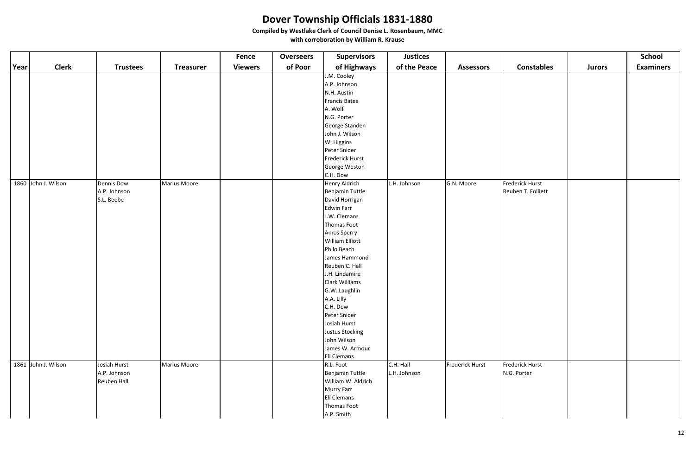|      |                     |                   |                     | <b>Fence</b>   | <b>Overseers</b> | <b>Supervisors</b>     | <b>Justices</b> |                  |                    |               | <b>School</b>    |
|------|---------------------|-------------------|---------------------|----------------|------------------|------------------------|-----------------|------------------|--------------------|---------------|------------------|
| Year | <b>Clerk</b>        | <b>Trustees</b>   | <b>Treasurer</b>    | <b>Viewers</b> | of Poor          | of Highways            | of the Peace    | <b>Assessors</b> | <b>Constables</b>  | <b>Jurors</b> | <b>Examiners</b> |
|      |                     |                   |                     |                |                  | J.M. Cooley            |                 |                  |                    |               |                  |
|      |                     |                   |                     |                |                  | A.P. Johnson           |                 |                  |                    |               |                  |
|      |                     |                   |                     |                |                  | N.H. Austin            |                 |                  |                    |               |                  |
|      |                     |                   |                     |                |                  | Francis Bates          |                 |                  |                    |               |                  |
|      |                     |                   |                     |                |                  | A. Wolf                |                 |                  |                    |               |                  |
|      |                     |                   |                     |                |                  | N.G. Porter            |                 |                  |                    |               |                  |
|      |                     |                   |                     |                |                  | George Standen         |                 |                  |                    |               |                  |
|      |                     |                   |                     |                |                  | John J. Wilson         |                 |                  |                    |               |                  |
|      |                     |                   |                     |                |                  | W. Higgins             |                 |                  |                    |               |                  |
|      |                     |                   |                     |                |                  | Peter Snider           |                 |                  |                    |               |                  |
|      |                     |                   |                     |                |                  | Frederick Hurst        |                 |                  |                    |               |                  |
|      |                     |                   |                     |                |                  | George Weston          |                 |                  |                    |               |                  |
|      |                     |                   |                     |                |                  | C.H. Dow               |                 |                  |                    |               |                  |
|      | 1860 John J. Wilson | <b>Dennis Dow</b> | <b>Marius Moore</b> |                |                  | Henry Aldrich          | L.H. Johnson    | G.N. Moore       | Frederick Hurst    |               |                  |
|      |                     | A.P. Johnson      |                     |                |                  | Benjamin Tuttle        |                 |                  | Reuben T. Folliett |               |                  |
|      |                     | S.L. Beebe        |                     |                |                  | David Horrigan         |                 |                  |                    |               |                  |
|      |                     |                   |                     |                |                  | Edwin Farr             |                 |                  |                    |               |                  |
|      |                     |                   |                     |                |                  | J.W. Clemans           |                 |                  |                    |               |                  |
|      |                     |                   |                     |                |                  | Thomas Foot            |                 |                  |                    |               |                  |
|      |                     |                   |                     |                |                  | Amos Sperry            |                 |                  |                    |               |                  |
|      |                     |                   |                     |                |                  | <b>William Elliott</b> |                 |                  |                    |               |                  |
|      |                     |                   |                     |                |                  | Philo Beach            |                 |                  |                    |               |                  |
|      |                     |                   |                     |                |                  | James Hammond          |                 |                  |                    |               |                  |
|      |                     |                   |                     |                |                  | Reuben C. Hall         |                 |                  |                    |               |                  |
|      |                     |                   |                     |                |                  | J.H. Lindamire         |                 |                  |                    |               |                  |
|      |                     |                   |                     |                |                  | Clark Williams         |                 |                  |                    |               |                  |
|      |                     |                   |                     |                |                  | G.W. Laughlin          |                 |                  |                    |               |                  |
|      |                     |                   |                     |                |                  | A.A. Lilly             |                 |                  |                    |               |                  |
|      |                     |                   |                     |                |                  | C.H. Dow               |                 |                  |                    |               |                  |
|      |                     |                   |                     |                |                  | Peter Snider           |                 |                  |                    |               |                  |
|      |                     |                   |                     |                |                  | Josiah Hurst           |                 |                  |                    |               |                  |
|      |                     |                   |                     |                |                  | Justus Stocking        |                 |                  |                    |               |                  |
|      |                     |                   |                     |                |                  | John Wilson            |                 |                  |                    |               |                  |
|      |                     |                   |                     |                |                  | James W. Armour        |                 |                  |                    |               |                  |
|      |                     |                   |                     |                |                  | Eli Clemans            |                 |                  |                    |               |                  |
|      | 1861 John J. Wilson | Josiah Hurst      | <b>Marius Moore</b> |                |                  | R.L. Foot              | C.H. Hall       | Frederick Hurst  | Frederick Hurst    |               |                  |
|      |                     | A.P. Johnson      |                     |                |                  | Benjamin Tuttle        | L.H. Johnson    |                  | N.G. Porter        |               |                  |
|      |                     | Reuben Hall       |                     |                |                  | William W. Aldrich     |                 |                  |                    |               |                  |
|      |                     |                   |                     |                |                  | Murry Farr             |                 |                  |                    |               |                  |
|      |                     |                   |                     |                |                  | Eli Clemans            |                 |                  |                    |               |                  |
|      |                     |                   |                     |                |                  | Thomas Foot            |                 |                  |                    |               |                  |
|      |                     |                   |                     |                |                  | A.P. Smith             |                 |                  |                    |               |                  |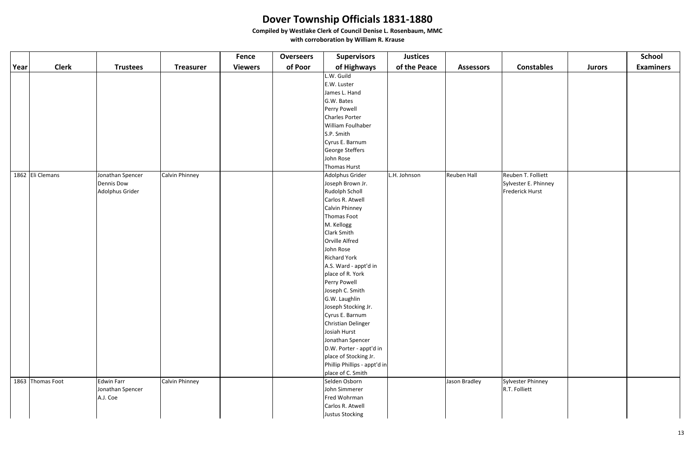|      |                  |                   |                  | <b>Fence</b>   | <b>Overseers</b> | <b>Supervisors</b>           | <b>Justices</b> |                  |                      |               | <b>School</b>    |
|------|------------------|-------------------|------------------|----------------|------------------|------------------------------|-----------------|------------------|----------------------|---------------|------------------|
| Year | <b>Clerk</b>     | <b>Trustees</b>   | <b>Treasurer</b> | <b>Viewers</b> | of Poor          | of Highways                  | of the Peace    | <b>Assessors</b> | <b>Constables</b>    | <b>Jurors</b> | <b>Examiners</b> |
|      |                  |                   |                  |                |                  | L.W. Guild                   |                 |                  |                      |               |                  |
|      |                  |                   |                  |                |                  | E.W. Luster                  |                 |                  |                      |               |                  |
|      |                  |                   |                  |                |                  | James L. Hand                |                 |                  |                      |               |                  |
|      |                  |                   |                  |                |                  | G.W. Bates                   |                 |                  |                      |               |                  |
|      |                  |                   |                  |                |                  | Perry Powell                 |                 |                  |                      |               |                  |
|      |                  |                   |                  |                |                  | Charles Porter               |                 |                  |                      |               |                  |
|      |                  |                   |                  |                |                  | William Foulhaber            |                 |                  |                      |               |                  |
|      |                  |                   |                  |                |                  | S.P. Smith                   |                 |                  |                      |               |                  |
|      |                  |                   |                  |                |                  | Cyrus E. Barnum              |                 |                  |                      |               |                  |
|      |                  |                   |                  |                |                  | George Steffers              |                 |                  |                      |               |                  |
|      |                  |                   |                  |                |                  | John Rose                    |                 |                  |                      |               |                  |
|      |                  |                   |                  |                |                  | Thomas Hurst                 |                 |                  |                      |               |                  |
|      | 1862 Eli Clemans | Jonathan Spencer  | Calvin Phinney   |                |                  | Adolphus Grider              | L.H. Johnson    | Reuben Hall      | Reuben T. Folliett   |               |                  |
|      |                  | <b>Dennis Dow</b> |                  |                |                  | Joseph Brown Jr.             |                 |                  | Sylvester E. Phinney |               |                  |
|      |                  | Adolphus Grider   |                  |                |                  | Rudolph Scholl               |                 |                  | Frederick Hurst      |               |                  |
|      |                  |                   |                  |                |                  | Carlos R. Atwell             |                 |                  |                      |               |                  |
|      |                  |                   |                  |                |                  | Calvin Phinney               |                 |                  |                      |               |                  |
|      |                  |                   |                  |                |                  | Thomas Foot                  |                 |                  |                      |               |                  |
|      |                  |                   |                  |                |                  | M. Kellogg                   |                 |                  |                      |               |                  |
|      |                  |                   |                  |                |                  | Clark Smith                  |                 |                  |                      |               |                  |
|      |                  |                   |                  |                |                  | Orville Alfred               |                 |                  |                      |               |                  |
|      |                  |                   |                  |                |                  | John Rose                    |                 |                  |                      |               |                  |
|      |                  |                   |                  |                |                  | <b>Richard York</b>          |                 |                  |                      |               |                  |
|      |                  |                   |                  |                |                  | A.S. Ward - appt'd in        |                 |                  |                      |               |                  |
|      |                  |                   |                  |                |                  | place of R. York             |                 |                  |                      |               |                  |
|      |                  |                   |                  |                |                  | Perry Powell                 |                 |                  |                      |               |                  |
|      |                  |                   |                  |                |                  | Joseph C. Smith              |                 |                  |                      |               |                  |
|      |                  |                   |                  |                |                  | G.W. Laughlin                |                 |                  |                      |               |                  |
|      |                  |                   |                  |                |                  | Joseph Stocking Jr.          |                 |                  |                      |               |                  |
|      |                  |                   |                  |                |                  | Cyrus E. Barnum              |                 |                  |                      |               |                  |
|      |                  |                   |                  |                |                  | Christian Delinger           |                 |                  |                      |               |                  |
|      |                  |                   |                  |                |                  | Josiah Hurst                 |                 |                  |                      |               |                  |
|      |                  |                   |                  |                |                  | Jonathan Spencer             |                 |                  |                      |               |                  |
|      |                  |                   |                  |                |                  | D.W. Porter - appt'd in      |                 |                  |                      |               |                  |
|      |                  |                   |                  |                |                  | place of Stocking Jr.        |                 |                  |                      |               |                  |
|      |                  |                   |                  |                |                  | Phillip Phillips - appt'd in |                 |                  |                      |               |                  |
|      |                  |                   |                  |                |                  | place of C. Smith            |                 |                  |                      |               |                  |
|      | 1863 Thomas Foot | <b>Edwin Farr</b> | Calvin Phinney   |                |                  | Selden Osborn                |                 | Jason Bradley    | Sylvester Phinney    |               |                  |
|      |                  | Jonathan Spencer  |                  |                |                  | John Simmerer                |                 |                  | R.T. Folliett        |               |                  |
|      |                  | A.J. Coe          |                  |                |                  | Fred Wohrman                 |                 |                  |                      |               |                  |
|      |                  |                   |                  |                |                  | Carlos R. Atwell             |                 |                  |                      |               |                  |
|      |                  |                   |                  |                |                  | Justus Stocking              |                 |                  |                      |               |                  |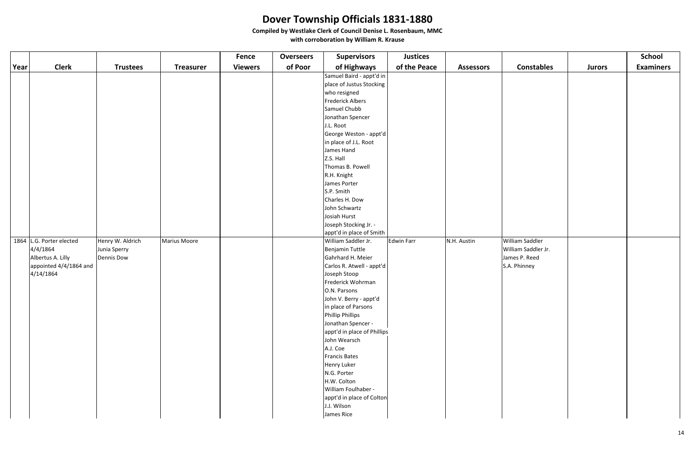|      |                          |                   |                  | <b>Fence</b>   | <b>Overseers</b> | <b>Supervisors</b>                              | <b>Justices</b>   |                  |                     |               | <b>School</b>    |
|------|--------------------------|-------------------|------------------|----------------|------------------|-------------------------------------------------|-------------------|------------------|---------------------|---------------|------------------|
| Year | <b>Clerk</b>             | <b>Trustees</b>   | <b>Treasurer</b> | <b>Viewers</b> | of Poor          | of Highways                                     | of the Peace      | <b>Assessors</b> | <b>Constables</b>   | <b>Jurors</b> | <b>Examiners</b> |
|      |                          |                   |                  |                |                  | Samuel Baird - appt'd in                        |                   |                  |                     |               |                  |
|      |                          |                   |                  |                |                  | place of Justus Stocking                        |                   |                  |                     |               |                  |
|      |                          |                   |                  |                |                  | who resigned                                    |                   |                  |                     |               |                  |
|      |                          |                   |                  |                |                  | Frederick Albers                                |                   |                  |                     |               |                  |
|      |                          |                   |                  |                |                  | Samuel Chubb                                    |                   |                  |                     |               |                  |
|      |                          |                   |                  |                |                  | Jonathan Spencer                                |                   |                  |                     |               |                  |
|      |                          |                   |                  |                |                  | J.L. Root                                       |                   |                  |                     |               |                  |
|      |                          |                   |                  |                |                  | George Weston - appt'd                          |                   |                  |                     |               |                  |
|      |                          |                   |                  |                |                  | in place of J.L. Root                           |                   |                  |                     |               |                  |
|      |                          |                   |                  |                |                  | James Hand                                      |                   |                  |                     |               |                  |
|      |                          |                   |                  |                |                  | Z.S. Hall                                       |                   |                  |                     |               |                  |
|      |                          |                   |                  |                |                  | Thomas B. Powell                                |                   |                  |                     |               |                  |
|      |                          |                   |                  |                |                  | R.H. Knight                                     |                   |                  |                     |               |                  |
|      |                          |                   |                  |                |                  | James Porter                                    |                   |                  |                     |               |                  |
|      |                          |                   |                  |                |                  | S.P. Smith                                      |                   |                  |                     |               |                  |
|      |                          |                   |                  |                |                  | Charles H. Dow                                  |                   |                  |                     |               |                  |
|      |                          |                   |                  |                |                  | John Schwartz                                   |                   |                  |                     |               |                  |
|      |                          |                   |                  |                |                  | Josiah Hurst                                    |                   |                  |                     |               |                  |
|      |                          |                   |                  |                |                  | Joseph Stocking Jr. -                           |                   |                  |                     |               |                  |
|      | 1864 L.G. Porter elected | Henry W. Aldrich  | Marius Moore     |                |                  | appt'd in place of Smith<br>William Saddler Jr. | <b>Edwin Farr</b> | N.H. Austin      | William Saddler     |               |                  |
|      | 4/4/1864                 | Junia Sperry      |                  |                |                  | Benjamin Tuttle                                 |                   |                  | William Saddler Jr. |               |                  |
|      | Albertus A. Lilly        | <b>Dennis Dow</b> |                  |                |                  | Gahrhard H. Meier                               |                   |                  | James P. Reed       |               |                  |
|      | appointed 4/4/1864 and   |                   |                  |                |                  | Carlos R. Atwell - appt'd                       |                   |                  | S.A. Phinney        |               |                  |
|      | 4/14/1864                |                   |                  |                |                  | Joseph Stoop                                    |                   |                  |                     |               |                  |
|      |                          |                   |                  |                |                  | Frederick Wohrman                               |                   |                  |                     |               |                  |
|      |                          |                   |                  |                |                  | O.N. Parsons                                    |                   |                  |                     |               |                  |
|      |                          |                   |                  |                |                  | John V. Berry - appt'd                          |                   |                  |                     |               |                  |
|      |                          |                   |                  |                |                  | in place of Parsons                             |                   |                  |                     |               |                  |
|      |                          |                   |                  |                |                  | Phillip Phillips                                |                   |                  |                     |               |                  |
|      |                          |                   |                  |                |                  | Jonathan Spencer -                              |                   |                  |                     |               |                  |
|      |                          |                   |                  |                |                  | appt'd in place of Phillips                     |                   |                  |                     |               |                  |
|      |                          |                   |                  |                |                  | John Wearsch                                    |                   |                  |                     |               |                  |
|      |                          |                   |                  |                |                  | A.J. Coe                                        |                   |                  |                     |               |                  |
|      |                          |                   |                  |                |                  | Francis Bates                                   |                   |                  |                     |               |                  |
|      |                          |                   |                  |                |                  | Henry Luker                                     |                   |                  |                     |               |                  |
|      |                          |                   |                  |                |                  | N.G. Porter                                     |                   |                  |                     |               |                  |
|      |                          |                   |                  |                |                  | H.W. Colton                                     |                   |                  |                     |               |                  |
|      |                          |                   |                  |                |                  | William Foulhaber -                             |                   |                  |                     |               |                  |
|      |                          |                   |                  |                |                  | appt'd in place of Colton                       |                   |                  |                     |               |                  |
|      |                          |                   |                  |                |                  | J.J. Wilson                                     |                   |                  |                     |               |                  |
|      |                          |                   |                  |                |                  | James Rice                                      |                   |                  |                     |               |                  |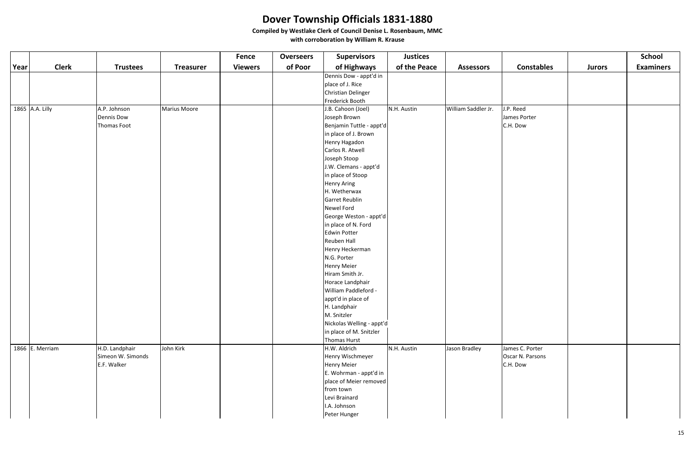|      |                 |                   |                  | <b>Fence</b>   | <b>Overseers</b> | <b>Supervisors</b>        | <b>Justices</b> |                     |                   |               | <b>School</b>    |
|------|-----------------|-------------------|------------------|----------------|------------------|---------------------------|-----------------|---------------------|-------------------|---------------|------------------|
| Year | <b>Clerk</b>    | <b>Trustees</b>   | <b>Treasurer</b> | <b>Viewers</b> | of Poor          | of Highways               | of the Peace    | <b>Assessors</b>    | <b>Constables</b> | <b>Jurors</b> | <b>Examiners</b> |
|      |                 |                   |                  |                |                  | Dennis Dow - appt'd in    |                 |                     |                   |               |                  |
|      |                 |                   |                  |                |                  | place of J. Rice          |                 |                     |                   |               |                  |
|      |                 |                   |                  |                |                  | Christian Delinger        |                 |                     |                   |               |                  |
|      |                 |                   |                  |                |                  | Frederick Booth           |                 |                     |                   |               |                  |
|      | 1865 A.A. Lilly | A.P. Johnson      | Marius Moore     |                |                  | J.B. Cahoon (Joel)        | N.H. Austin     | William Saddler Jr. | J.P. Reed         |               |                  |
|      |                 | Dennis Dow        |                  |                |                  | Joseph Brown              |                 |                     | James Porter      |               |                  |
|      |                 | Thomas Foot       |                  |                |                  | Benjamin Tuttle - appt'd  |                 |                     | C.H. Dow          |               |                  |
|      |                 |                   |                  |                |                  | in place of J. Brown      |                 |                     |                   |               |                  |
|      |                 |                   |                  |                |                  | Henry Hagadon             |                 |                     |                   |               |                  |
|      |                 |                   |                  |                |                  | Carlos R. Atwell          |                 |                     |                   |               |                  |
|      |                 |                   |                  |                |                  | Joseph Stoop              |                 |                     |                   |               |                  |
|      |                 |                   |                  |                |                  | J.W. Clemans - appt'd     |                 |                     |                   |               |                  |
|      |                 |                   |                  |                |                  | in place of Stoop         |                 |                     |                   |               |                  |
|      |                 |                   |                  |                |                  | <b>Henry Aring</b>        |                 |                     |                   |               |                  |
|      |                 |                   |                  |                |                  | H. Wetherwax              |                 |                     |                   |               |                  |
|      |                 |                   |                  |                |                  | Garret Reublin            |                 |                     |                   |               |                  |
|      |                 |                   |                  |                |                  | Newel Ford                |                 |                     |                   |               |                  |
|      |                 |                   |                  |                |                  | George Weston - appt'd    |                 |                     |                   |               |                  |
|      |                 |                   |                  |                |                  | in place of N. Ford       |                 |                     |                   |               |                  |
|      |                 |                   |                  |                |                  | Edwin Potter              |                 |                     |                   |               |                  |
|      |                 |                   |                  |                |                  | Reuben Hall               |                 |                     |                   |               |                  |
|      |                 |                   |                  |                |                  | Henry Heckerman           |                 |                     |                   |               |                  |
|      |                 |                   |                  |                |                  | N.G. Porter               |                 |                     |                   |               |                  |
|      |                 |                   |                  |                |                  | <b>Henry Meier</b>        |                 |                     |                   |               |                  |
|      |                 |                   |                  |                |                  | Hiram Smith Jr.           |                 |                     |                   |               |                  |
|      |                 |                   |                  |                |                  | Horace Landphair          |                 |                     |                   |               |                  |
|      |                 |                   |                  |                |                  | William Paddleford -      |                 |                     |                   |               |                  |
|      |                 |                   |                  |                |                  | appt'd in place of        |                 |                     |                   |               |                  |
|      |                 |                   |                  |                |                  | H. Landphair              |                 |                     |                   |               |                  |
|      |                 |                   |                  |                |                  | M. Snitzler               |                 |                     |                   |               |                  |
|      |                 |                   |                  |                |                  | Nickolas Welling - appt'd |                 |                     |                   |               |                  |
|      |                 |                   |                  |                |                  | in place of M. Snitzler   |                 |                     |                   |               |                  |
|      |                 |                   |                  |                |                  | <b>Thomas Hurst</b>       |                 |                     |                   |               |                  |
|      | 1866 E. Merriam | H.D. Landphair    | John Kirk        |                |                  | H.W. Aldrich              | N.H. Austin     | Jason Bradley       | James C. Porter   |               |                  |
|      |                 | Simeon W. Simonds |                  |                |                  | Henry Wischmeyer          |                 |                     | Oscar N. Parsons  |               |                  |
|      |                 | E.F. Walker       |                  |                |                  | <b>Henry Meier</b>        |                 |                     | C.H. Dow          |               |                  |
|      |                 |                   |                  |                |                  | E. Wohrman - appt'd in    |                 |                     |                   |               |                  |
|      |                 |                   |                  |                |                  | place of Meier removed    |                 |                     |                   |               |                  |
|      |                 |                   |                  |                |                  | from town                 |                 |                     |                   |               |                  |
|      |                 |                   |                  |                |                  | Levi Brainard             |                 |                     |                   |               |                  |
|      |                 |                   |                  |                |                  | I.A. Johnson              |                 |                     |                   |               |                  |
|      |                 |                   |                  |                |                  | Peter Hunger              |                 |                     |                   |               |                  |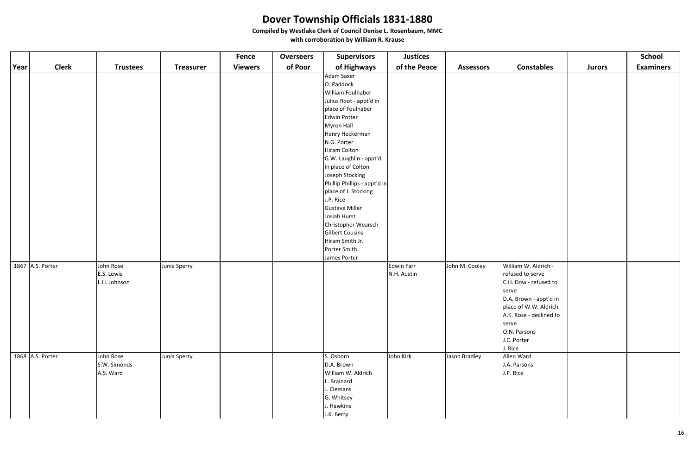|      |                  |                                         |                  | Fence          | <b>Overseers</b> | <b>Supervisors</b>                                                                                                                                                                                                                                                                                                                                                                                        | <b>Justices</b>           |                  |                                                                                                                                                                                                             |               | <b>School</b>    |
|------|------------------|-----------------------------------------|------------------|----------------|------------------|-----------------------------------------------------------------------------------------------------------------------------------------------------------------------------------------------------------------------------------------------------------------------------------------------------------------------------------------------------------------------------------------------------------|---------------------------|------------------|-------------------------------------------------------------------------------------------------------------------------------------------------------------------------------------------------------------|---------------|------------------|
| Year | <b>Clerk</b>     | <b>Trustees</b>                         | <b>Treasurer</b> | <b>Viewers</b> | of Poor          | of Highways                                                                                                                                                                                                                                                                                                                                                                                               | of the Peace              | <b>Assessors</b> | <b>Constables</b>                                                                                                                                                                                           | <b>Jurors</b> | <b>Examiners</b> |
|      |                  |                                         |                  |                |                  | Adam Saxer<br>O. Paddock<br>William Foulhaber<br>Julius Root - appt'd in<br>place of Foulhaber<br>Edwin Potter<br>Myron Hall<br>Henry Heckerman<br>N.G. Porter<br>Hiram Colton<br>G.W. Laughlin - appt'd<br>in place of Colton<br>Joseph Stocking<br>Phillip Phillips - appt'd in<br>place of J. Stocking<br>J.P. Rice<br><b>Gustave Miller</b><br>Josiah Hurst<br>Christopher Wearsch<br>Gilbert Cousins |                           |                  |                                                                                                                                                                                                             |               |                  |
|      |                  |                                         |                  |                |                  | Hiram Smith Jr.<br>Porter Smith                                                                                                                                                                                                                                                                                                                                                                           |                           |                  |                                                                                                                                                                                                             |               |                  |
|      |                  |                                         |                  |                |                  | James Porter                                                                                                                                                                                                                                                                                                                                                                                              |                           |                  |                                                                                                                                                                                                             |               |                  |
|      | 1867 A.S. Porter | John Rose<br>E.S. Lewis<br>L.H. Johnson | Junia Sperry     |                |                  |                                                                                                                                                                                                                                                                                                                                                                                                           | Edwin Farr<br>N.H. Austin | John M. Cooley   | William W. Aldrich -<br>refused to serve<br>C.H. Dow - refused to<br>serve<br>D.A. Brown - appt'd in<br>place of W.W. Aldrich<br>A.K. Rose - declined to<br>serve<br>O.N. Parsons<br>J.C. Porter<br>J. Rice |               |                  |
|      | 1868 A.S. Porter | John Rose<br>S.W. Simonds<br>A.S. Ward  | Junia Sperry     |                |                  | S. Osborn<br>D.A. Brown<br>William W. Aldrich<br>L. Brainard<br>J. Clemans<br>G. Whitsey<br>J. Hawkins<br>J.K. Berry                                                                                                                                                                                                                                                                                      | John Kirk                 | Jason Bradley    | Allen Ward<br>J.A. Parsons<br>J.P. Rice                                                                                                                                                                     |               |                  |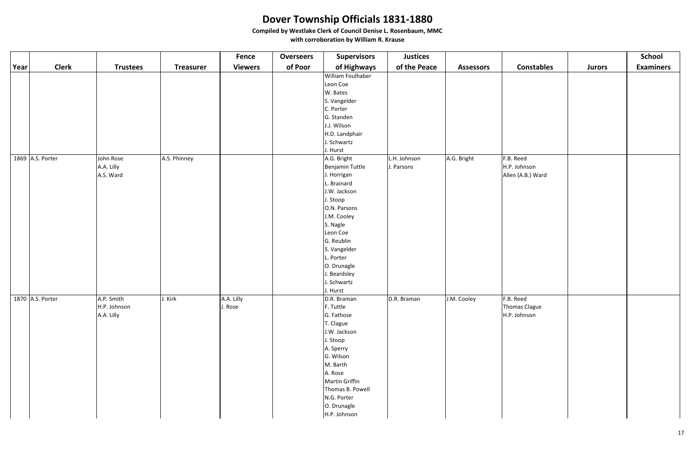|      |                  |                 |                  | <b>Fence</b>   | <b>Overseers</b> | <b>Supervisors</b> | <b>Justices</b> |                  |                   |               | <b>School</b>    |
|------|------------------|-----------------|------------------|----------------|------------------|--------------------|-----------------|------------------|-------------------|---------------|------------------|
| Year | <b>Clerk</b>     | <b>Trustees</b> | <b>Treasurer</b> | <b>Viewers</b> | of Poor          | of Highways        | of the Peace    | <b>Assessors</b> | <b>Constables</b> | <b>Jurors</b> | <b>Examiners</b> |
|      |                  |                 |                  |                |                  | William Foulhaber  |                 |                  |                   |               |                  |
|      |                  |                 |                  |                |                  | Leon Coe           |                 |                  |                   |               |                  |
|      |                  |                 |                  |                |                  | W. Bates           |                 |                  |                   |               |                  |
|      |                  |                 |                  |                |                  | S. Vangelder       |                 |                  |                   |               |                  |
|      |                  |                 |                  |                |                  | C. Porter          |                 |                  |                   |               |                  |
|      |                  |                 |                  |                |                  | G. Standen         |                 |                  |                   |               |                  |
|      |                  |                 |                  |                |                  | J.J. Wilson        |                 |                  |                   |               |                  |
|      |                  |                 |                  |                |                  | H.D. Landphair     |                 |                  |                   |               |                  |
|      |                  |                 |                  |                |                  | J. Schwartz        |                 |                  |                   |               |                  |
|      |                  |                 |                  |                |                  | J. Hurst           |                 |                  |                   |               |                  |
|      | 1869 A.S. Porter | John Rose       | A.S. Phinney     |                |                  | A.G. Bright        | L.H. Johnson    | A.G. Bright      | F.B. Reed         |               |                  |
|      |                  | A.A. Lilly      |                  |                |                  | Benjamin Tuttle    | J. Parsons      |                  | H.P. Johnson      |               |                  |
|      |                  | A.S. Ward       |                  |                |                  | J. Horrigan        |                 |                  | Allen (A.B.) Ward |               |                  |
|      |                  |                 |                  |                |                  | L. Brainard        |                 |                  |                   |               |                  |
|      |                  |                 |                  |                |                  | J.W. Jackson       |                 |                  |                   |               |                  |
|      |                  |                 |                  |                |                  | J. Stoop           |                 |                  |                   |               |                  |
|      |                  |                 |                  |                |                  | O.N. Parsons       |                 |                  |                   |               |                  |
|      |                  |                 |                  |                |                  | J.M. Cooley        |                 |                  |                   |               |                  |
|      |                  |                 |                  |                |                  | S. Nagle           |                 |                  |                   |               |                  |
|      |                  |                 |                  |                |                  | Leon Coe           |                 |                  |                   |               |                  |
|      |                  |                 |                  |                |                  | G. Reublin         |                 |                  |                   |               |                  |
|      |                  |                 |                  |                |                  | S. Vangelder       |                 |                  |                   |               |                  |
|      |                  |                 |                  |                |                  | L. Porter          |                 |                  |                   |               |                  |
|      |                  |                 |                  |                |                  | O. Drunagle        |                 |                  |                   |               |                  |
|      |                  |                 |                  |                |                  | J. Beardsley       |                 |                  |                   |               |                  |
|      |                  |                 |                  |                |                  | J. Schwartz        |                 |                  |                   |               |                  |
|      |                  |                 |                  |                |                  | J. Hurst           |                 |                  |                   |               |                  |
|      | 1870 A.S. Porter | A.P. Smith      | J. Kirk          | A.A. Lilly     |                  | D.R. Braman        | D.R. Braman     | J.M. Cooley      | F.B. Reed         |               |                  |
|      |                  | H.P. Johnson    |                  | J. Rose        |                  | F. Tuttle          |                 |                  | Thomas Clague     |               |                  |
|      |                  | A.A. Lilly      |                  |                |                  | G. Fathose         |                 |                  | H.P. Johnson      |               |                  |
|      |                  |                 |                  |                |                  | T. Clague          |                 |                  |                   |               |                  |
|      |                  |                 |                  |                |                  | J.W. Jackson       |                 |                  |                   |               |                  |
|      |                  |                 |                  |                |                  | J. Stoop           |                 |                  |                   |               |                  |
|      |                  |                 |                  |                |                  | A. Sperry          |                 |                  |                   |               |                  |
|      |                  |                 |                  |                |                  | G. Wilson          |                 |                  |                   |               |                  |
|      |                  |                 |                  |                |                  | M. Barth           |                 |                  |                   |               |                  |
|      |                  |                 |                  |                |                  | A. Rose            |                 |                  |                   |               |                  |
|      |                  |                 |                  |                |                  | Martin Griffin     |                 |                  |                   |               |                  |
|      |                  |                 |                  |                |                  | Thomas B. Powell   |                 |                  |                   |               |                  |
|      |                  |                 |                  |                |                  | N.G. Porter        |                 |                  |                   |               |                  |
|      |                  |                 |                  |                |                  | O. Drunagle        |                 |                  |                   |               |                  |
|      |                  |                 |                  |                |                  | H.P. Johnson       |                 |                  |                   |               |                  |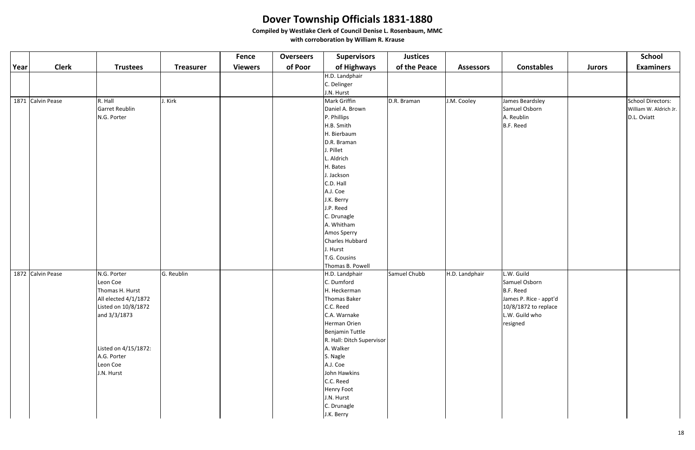|      |                   |                      |                  | <b>Fence</b>   | <b>Overseers</b> | <b>Supervisors</b>        | <b>Justices</b> |                  |                        |               | <b>School</b>          |
|------|-------------------|----------------------|------------------|----------------|------------------|---------------------------|-----------------|------------------|------------------------|---------------|------------------------|
| Year | <b>Clerk</b>      | <b>Trustees</b>      | <b>Treasurer</b> | <b>Viewers</b> | of Poor          | of Highways               | of the Peace    | <b>Assessors</b> | <b>Constables</b>      | <b>Jurors</b> | <b>Examiners</b>       |
|      |                   |                      |                  |                |                  | H.D. Landphair            |                 |                  |                        |               |                        |
|      |                   |                      |                  |                |                  | C. Delinger               |                 |                  |                        |               |                        |
|      |                   |                      |                  |                |                  | J.N. Hurst                |                 |                  |                        |               |                        |
|      | 1871 Calvin Pease | R. Hall              | J. Kirk          |                |                  | Mark Griffin              | D.R. Braman     | J.M. Cooley      | James Beardsley        |               | School Directors:      |
|      |                   | Garret Reublin       |                  |                |                  | Daniel A. Brown           |                 |                  | Samuel Osborn          |               | William W. Aldrich Jr. |
|      |                   | N.G. Porter          |                  |                |                  | P. Phillips               |                 |                  | A. Reublin             |               | D.L. Oviatt            |
|      |                   |                      |                  |                |                  | H.B. Smith                |                 |                  | B.F. Reed              |               |                        |
|      |                   |                      |                  |                |                  | H. Bierbaum               |                 |                  |                        |               |                        |
|      |                   |                      |                  |                |                  | D.R. Braman               |                 |                  |                        |               |                        |
|      |                   |                      |                  |                |                  | J. Pillet                 |                 |                  |                        |               |                        |
|      |                   |                      |                  |                |                  | L. Aldrich                |                 |                  |                        |               |                        |
|      |                   |                      |                  |                |                  | H. Bates                  |                 |                  |                        |               |                        |
|      |                   |                      |                  |                |                  | J. Jackson                |                 |                  |                        |               |                        |
|      |                   |                      |                  |                |                  | C.D. Hall                 |                 |                  |                        |               |                        |
|      |                   |                      |                  |                |                  | A.J. Coe                  |                 |                  |                        |               |                        |
|      |                   |                      |                  |                |                  | J.K. Berry                |                 |                  |                        |               |                        |
|      |                   |                      |                  |                |                  | J.P. Reed                 |                 |                  |                        |               |                        |
|      |                   |                      |                  |                |                  | C. Drunagle               |                 |                  |                        |               |                        |
|      |                   |                      |                  |                |                  | A. Whitham                |                 |                  |                        |               |                        |
|      |                   |                      |                  |                |                  | Amos Sperry               |                 |                  |                        |               |                        |
|      |                   |                      |                  |                |                  | Charles Hubbard           |                 |                  |                        |               |                        |
|      |                   |                      |                  |                |                  | J. Hurst                  |                 |                  |                        |               |                        |
|      |                   |                      |                  |                |                  | T.G. Cousins              |                 |                  |                        |               |                        |
|      |                   |                      |                  |                |                  | Thomas B. Powell          |                 |                  |                        |               |                        |
|      | 1872 Calvin Pease | N.G. Porter          | G. Reublin       |                |                  | H.D. Landphair            | Samuel Chubb    | H.D. Landphair   | L.W. Guild             |               |                        |
|      |                   | Leon Coe             |                  |                |                  | C. Dumford                |                 |                  | Samuel Osborn          |               |                        |
|      |                   | Thomas H. Hurst      |                  |                |                  | H. Heckerman              |                 |                  | B.F. Reed              |               |                        |
|      |                   | All elected 4/1/1872 |                  |                |                  | Thomas Baker              |                 |                  | James P. Rice - appt'd |               |                        |
|      |                   | Listed on 10/8/1872  |                  |                |                  | C.C. Reed                 |                 |                  | 10/8/1872 to replace   |               |                        |
|      |                   | and 3/3/1873         |                  |                |                  | C.A. Warnake              |                 |                  | L.W. Guild who         |               |                        |
|      |                   |                      |                  |                |                  | Herman Orien              |                 |                  | resigned               |               |                        |
|      |                   |                      |                  |                |                  | Benjamin Tuttle           |                 |                  |                        |               |                        |
|      |                   |                      |                  |                |                  | R. Hall: Ditch Supervisor |                 |                  |                        |               |                        |
|      |                   | Listed on 4/15/1872: |                  |                |                  | A. Walker                 |                 |                  |                        |               |                        |
|      |                   | A.G. Porter          |                  |                |                  | S. Nagle                  |                 |                  |                        |               |                        |
|      |                   | Leon Coe             |                  |                |                  | A.J. Coe                  |                 |                  |                        |               |                        |
|      |                   | J.N. Hurst           |                  |                |                  | John Hawkins              |                 |                  |                        |               |                        |
|      |                   |                      |                  |                |                  | C.C. Reed                 |                 |                  |                        |               |                        |
|      |                   |                      |                  |                |                  | Henry Foot                |                 |                  |                        |               |                        |
|      |                   |                      |                  |                |                  | J.N. Hurst                |                 |                  |                        |               |                        |
|      |                   |                      |                  |                |                  | C. Drunagle               |                 |                  |                        |               |                        |
|      |                   |                      |                  |                |                  | J.K. Berry                |                 |                  |                        |               |                        |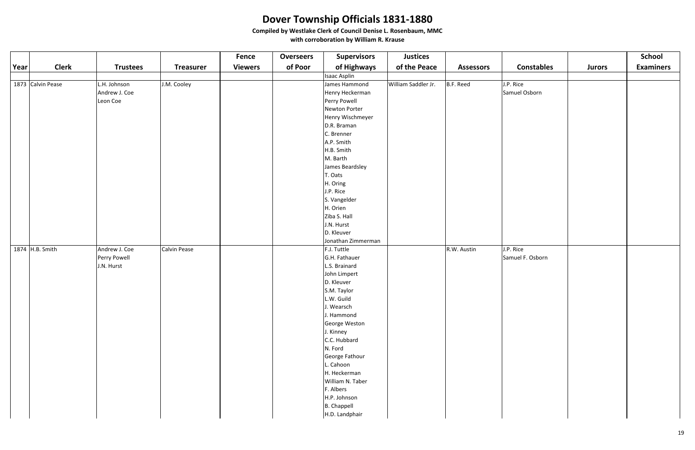|      |                   |                 |                  | <b>Fence</b>   | <b>Overseers</b> | <b>Supervisors</b>  | <b>Justices</b>     |                  |                   |               | <b>School</b>    |
|------|-------------------|-----------------|------------------|----------------|------------------|---------------------|---------------------|------------------|-------------------|---------------|------------------|
| Year | <b>Clerk</b>      | <b>Trustees</b> | <b>Treasurer</b> | <b>Viewers</b> | of Poor          | of Highways         | of the Peace        | <b>Assessors</b> | <b>Constables</b> | <b>Jurors</b> | <b>Examiners</b> |
|      |                   |                 |                  |                |                  | <b>Isaac Asplin</b> |                     |                  |                   |               |                  |
|      | 1873 Calvin Pease | L.H. Johnson    | J.M. Cooley      |                |                  | James Hammond       | William Saddler Jr. | B.F. Reed        | J.P. Rice         |               |                  |
|      |                   | Andrew J. Coe   |                  |                |                  | Henry Heckerman     |                     |                  | Samuel Osborn     |               |                  |
|      |                   | Leon Coe        |                  |                |                  | Perry Powell        |                     |                  |                   |               |                  |
|      |                   |                 |                  |                |                  | Newton Porter       |                     |                  |                   |               |                  |
|      |                   |                 |                  |                |                  | Henry Wischmeyer    |                     |                  |                   |               |                  |
|      |                   |                 |                  |                |                  | D.R. Braman         |                     |                  |                   |               |                  |
|      |                   |                 |                  |                |                  | C. Brenner          |                     |                  |                   |               |                  |
|      |                   |                 |                  |                |                  | A.P. Smith          |                     |                  |                   |               |                  |
|      |                   |                 |                  |                |                  | H.B. Smith          |                     |                  |                   |               |                  |
|      |                   |                 |                  |                |                  | M. Barth            |                     |                  |                   |               |                  |
|      |                   |                 |                  |                |                  | James Beardsley     |                     |                  |                   |               |                  |
|      |                   |                 |                  |                |                  | T. Oats             |                     |                  |                   |               |                  |
|      |                   |                 |                  |                |                  | H. Oring            |                     |                  |                   |               |                  |
|      |                   |                 |                  |                |                  | J.P. Rice           |                     |                  |                   |               |                  |
|      |                   |                 |                  |                |                  | S. Vangelder        |                     |                  |                   |               |                  |
|      |                   |                 |                  |                |                  | H. Orien            |                     |                  |                   |               |                  |
|      |                   |                 |                  |                |                  | Ziba S. Hall        |                     |                  |                   |               |                  |
|      |                   |                 |                  |                |                  | J.N. Hurst          |                     |                  |                   |               |                  |
|      |                   |                 |                  |                |                  | D. Kleuver          |                     |                  |                   |               |                  |
|      |                   |                 |                  |                |                  | Jonathan Zimmerman  |                     |                  |                   |               |                  |
|      | 1874 H.B. Smith   | Andrew J. Coe   | Calvin Pease     |                |                  | F.J. Tuttle         |                     | R.W. Austin      | J.P. Rice         |               |                  |
|      |                   | Perry Powell    |                  |                |                  | G.H. Fathauer       |                     |                  | Samuel F. Osborn  |               |                  |
|      |                   | J.N. Hurst      |                  |                |                  | L.S. Brainard       |                     |                  |                   |               |                  |
|      |                   |                 |                  |                |                  | John Limpert        |                     |                  |                   |               |                  |
|      |                   |                 |                  |                |                  | D. Kleuver          |                     |                  |                   |               |                  |
|      |                   |                 |                  |                |                  | S.M. Taylor         |                     |                  |                   |               |                  |
|      |                   |                 |                  |                |                  | L.W. Guild          |                     |                  |                   |               |                  |
|      |                   |                 |                  |                |                  | J. Wearsch          |                     |                  |                   |               |                  |
|      |                   |                 |                  |                |                  | J. Hammond          |                     |                  |                   |               |                  |
|      |                   |                 |                  |                |                  | George Weston       |                     |                  |                   |               |                  |
|      |                   |                 |                  |                |                  | J. Kinney           |                     |                  |                   |               |                  |
|      |                   |                 |                  |                |                  | C.C. Hubbard        |                     |                  |                   |               |                  |
|      |                   |                 |                  |                |                  | N. Ford             |                     |                  |                   |               |                  |
|      |                   |                 |                  |                |                  | George Fathour      |                     |                  |                   |               |                  |
|      |                   |                 |                  |                |                  | L. Cahoon           |                     |                  |                   |               |                  |
|      |                   |                 |                  |                |                  | H. Heckerman        |                     |                  |                   |               |                  |
|      |                   |                 |                  |                |                  | William N. Taber    |                     |                  |                   |               |                  |
|      |                   |                 |                  |                |                  | F. Albers           |                     |                  |                   |               |                  |
|      |                   |                 |                  |                |                  | H.P. Johnson        |                     |                  |                   |               |                  |
|      |                   |                 |                  |                |                  | <b>B.</b> Chappell  |                     |                  |                   |               |                  |
|      |                   |                 |                  |                |                  | H.D. Landphair      |                     |                  |                   |               |                  |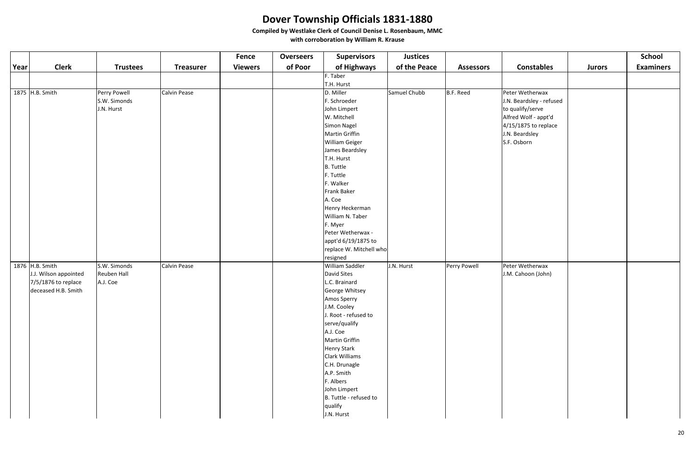|             |                       |                 |                     | <b>Fence</b>   | <b>Overseers</b> | <b>Supervisors</b>      | <b>Justices</b> |                  |                          |               | <b>School</b>    |
|-------------|-----------------------|-----------------|---------------------|----------------|------------------|-------------------------|-----------------|------------------|--------------------------|---------------|------------------|
| <b>Year</b> | <b>Clerk</b>          | <b>Trustees</b> | <b>Treasurer</b>    | <b>Viewers</b> | of Poor          | of Highways             | of the Peace    | <b>Assessors</b> | <b>Constables</b>        | <b>Jurors</b> | <b>Examiners</b> |
|             |                       |                 |                     |                |                  | F. Taber                |                 |                  |                          |               |                  |
|             |                       |                 |                     |                |                  | T.H. Hurst              |                 |                  |                          |               |                  |
|             | 1875 H.B. Smith       | Perry Powell    | <b>Calvin Pease</b> |                |                  | D. Miller               | Samuel Chubb    | B.F. Reed        | Peter Wetherwax          |               |                  |
|             |                       | S.W. Simonds    |                     |                |                  | F. Schroeder            |                 |                  | J.N. Beardsley - refused |               |                  |
|             |                       | J.N. Hurst      |                     |                |                  | John Limpert            |                 |                  | to qualify/serve         |               |                  |
|             |                       |                 |                     |                |                  | W. Mitchell             |                 |                  | Alfred Wolf - appt'd     |               |                  |
|             |                       |                 |                     |                |                  | Simon Nagel             |                 |                  | $4/15/1875$ to replace   |               |                  |
|             |                       |                 |                     |                |                  | Martin Griffin          |                 |                  | J.N. Beardsley           |               |                  |
|             |                       |                 |                     |                |                  | <b>William Geiger</b>   |                 |                  | S.F. Osborn              |               |                  |
|             |                       |                 |                     |                |                  | James Beardsley         |                 |                  |                          |               |                  |
|             |                       |                 |                     |                |                  | T.H. Hurst              |                 |                  |                          |               |                  |
|             |                       |                 |                     |                |                  | B. Tuttle               |                 |                  |                          |               |                  |
|             |                       |                 |                     |                |                  | F. Tuttle               |                 |                  |                          |               |                  |
|             |                       |                 |                     |                |                  | F. Walker               |                 |                  |                          |               |                  |
|             |                       |                 |                     |                |                  | Frank Baker             |                 |                  |                          |               |                  |
|             |                       |                 |                     |                |                  | A. Coe                  |                 |                  |                          |               |                  |
|             |                       |                 |                     |                |                  | Henry Heckerman         |                 |                  |                          |               |                  |
|             |                       |                 |                     |                |                  | William N. Taber        |                 |                  |                          |               |                  |
|             |                       |                 |                     |                |                  | F. Myer                 |                 |                  |                          |               |                  |
|             |                       |                 |                     |                |                  | Peter Wetherwax -       |                 |                  |                          |               |                  |
|             |                       |                 |                     |                |                  | appt'd 6/19/1875 to     |                 |                  |                          |               |                  |
|             |                       |                 |                     |                |                  | replace W. Mitchell who |                 |                  |                          |               |                  |
|             |                       |                 |                     |                |                  | resigned                |                 |                  |                          |               |                  |
|             | 1876 H.B. Smith       | S.W. Simonds    | <b>Calvin Pease</b> |                |                  | William Saddler         | J.N. Hurst      | Perry Powell     | Peter Wetherwax          |               |                  |
|             | J.J. Wilson appointed | Reuben Hall     |                     |                |                  | David Sites             |                 |                  | J.M. Cahoon (John)       |               |                  |
|             | 7/5/1876 to replace   | A.J. Coe        |                     |                |                  | L.C. Brainard           |                 |                  |                          |               |                  |
|             | deceased H.B. Smith   |                 |                     |                |                  | George Whitsey          |                 |                  |                          |               |                  |
|             |                       |                 |                     |                |                  | Amos Sperry             |                 |                  |                          |               |                  |
|             |                       |                 |                     |                |                  | J.M. Cooley             |                 |                  |                          |               |                  |
|             |                       |                 |                     |                |                  | J. Root - refused to    |                 |                  |                          |               |                  |
|             |                       |                 |                     |                |                  | serve/qualify           |                 |                  |                          |               |                  |
|             |                       |                 |                     |                |                  | A.J. Coe                |                 |                  |                          |               |                  |
|             |                       |                 |                     |                |                  | Martin Griffin          |                 |                  |                          |               |                  |
|             |                       |                 |                     |                |                  | <b>Henry Stark</b>      |                 |                  |                          |               |                  |
|             |                       |                 |                     |                |                  | <b>Clark Williams</b>   |                 |                  |                          |               |                  |
|             |                       |                 |                     |                |                  | C.H. Drunagle           |                 |                  |                          |               |                  |
|             |                       |                 |                     |                |                  | A.P. Smith              |                 |                  |                          |               |                  |
|             |                       |                 |                     |                |                  | F. Albers               |                 |                  |                          |               |                  |
|             |                       |                 |                     |                |                  | John Limpert            |                 |                  |                          |               |                  |
|             |                       |                 |                     |                |                  | B. Tuttle - refused to  |                 |                  |                          |               |                  |
|             |                       |                 |                     |                |                  | qualify                 |                 |                  |                          |               |                  |
|             |                       |                 |                     |                |                  | J.N. Hurst              |                 |                  |                          |               |                  |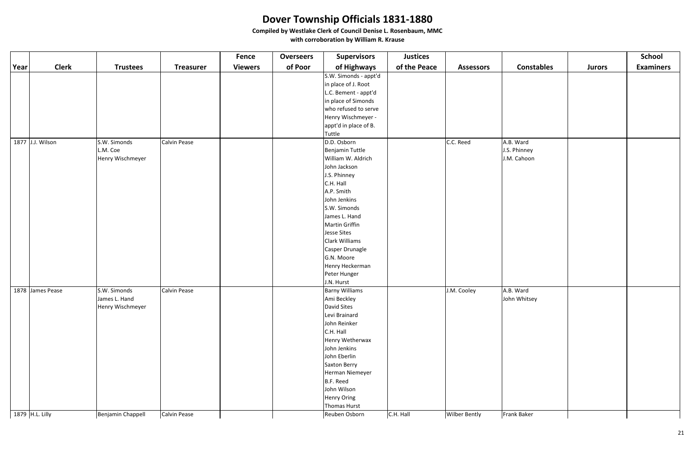|      |                  |                   |                     | <b>Fence</b>   | <b>Overseers</b> | <b>Supervisors</b>    | <b>Justices</b> |                      |                   |               | <b>School</b>    |
|------|------------------|-------------------|---------------------|----------------|------------------|-----------------------|-----------------|----------------------|-------------------|---------------|------------------|
| Year | <b>Clerk</b>     | <b>Trustees</b>   | <b>Treasurer</b>    | <b>Viewers</b> | of Poor          | of Highways           | of the Peace    | <b>Assessors</b>     | <b>Constables</b> | <b>Jurors</b> | <b>Examiners</b> |
|      |                  |                   |                     |                |                  | S.W. Simonds - appt'd |                 |                      |                   |               |                  |
|      |                  |                   |                     |                |                  | in place of J. Root   |                 |                      |                   |               |                  |
|      |                  |                   |                     |                |                  | L.C. Bement - appt'd  |                 |                      |                   |               |                  |
|      |                  |                   |                     |                |                  | in place of Simonds   |                 |                      |                   |               |                  |
|      |                  |                   |                     |                |                  | who refused to serve  |                 |                      |                   |               |                  |
|      |                  |                   |                     |                |                  | Henry Wischmeyer -    |                 |                      |                   |               |                  |
|      |                  |                   |                     |                |                  | appt'd in place of B. |                 |                      |                   |               |                  |
|      |                  |                   |                     |                |                  | Tuttle                |                 |                      |                   |               |                  |
|      | 1877 J.J. Wilson | S.W. Simonds      | Calvin Pease        |                |                  | D.D. Osborn           |                 | C.C. Reed            | A.B. Ward         |               |                  |
|      |                  | L.M. Coe          |                     |                |                  | Benjamin Tuttle       |                 |                      | J.S. Phinney      |               |                  |
|      |                  | Henry Wischmeyer  |                     |                |                  | William W. Aldrich    |                 |                      | J.M. Cahoon       |               |                  |
|      |                  |                   |                     |                |                  | John Jackson          |                 |                      |                   |               |                  |
|      |                  |                   |                     |                |                  | J.S. Phinney          |                 |                      |                   |               |                  |
|      |                  |                   |                     |                |                  | C.H. Hall             |                 |                      |                   |               |                  |
|      |                  |                   |                     |                |                  | A.P. Smith            |                 |                      |                   |               |                  |
|      |                  |                   |                     |                |                  | John Jenkins          |                 |                      |                   |               |                  |
|      |                  |                   |                     |                |                  | S.W. Simonds          |                 |                      |                   |               |                  |
|      |                  |                   |                     |                |                  | James L. Hand         |                 |                      |                   |               |                  |
|      |                  |                   |                     |                |                  | Martin Griffin        |                 |                      |                   |               |                  |
|      |                  |                   |                     |                |                  | Jesse Sites           |                 |                      |                   |               |                  |
|      |                  |                   |                     |                |                  | Clark Williams        |                 |                      |                   |               |                  |
|      |                  |                   |                     |                |                  | Casper Drunagle       |                 |                      |                   |               |                  |
|      |                  |                   |                     |                |                  | G.N. Moore            |                 |                      |                   |               |                  |
|      |                  |                   |                     |                |                  | Henry Heckerman       |                 |                      |                   |               |                  |
|      |                  |                   |                     |                |                  | Peter Hunger          |                 |                      |                   |               |                  |
|      |                  |                   |                     |                |                  | J.N. Hurst            |                 |                      |                   |               |                  |
|      | 1878 James Pease | S.W. Simonds      | <b>Calvin Pease</b> |                |                  | <b>Barny Williams</b> |                 | J.M. Cooley          | A.B. Ward         |               |                  |
|      |                  | James L. Hand     |                     |                |                  | Ami Beckley           |                 |                      | John Whitsey      |               |                  |
|      |                  | Henry Wischmeyer  |                     |                |                  | David Sites           |                 |                      |                   |               |                  |
|      |                  |                   |                     |                |                  | Levi Brainard         |                 |                      |                   |               |                  |
|      |                  |                   |                     |                |                  | John Reinker          |                 |                      |                   |               |                  |
|      |                  |                   |                     |                |                  | C.H. Hall             |                 |                      |                   |               |                  |
|      |                  |                   |                     |                |                  | Henry Wetherwax       |                 |                      |                   |               |                  |
|      |                  |                   |                     |                |                  | John Jenkins          |                 |                      |                   |               |                  |
|      |                  |                   |                     |                |                  | John Eberlin          |                 |                      |                   |               |                  |
|      |                  |                   |                     |                |                  | Saxton Berry          |                 |                      |                   |               |                  |
|      |                  |                   |                     |                |                  | Herman Niemeyer       |                 |                      |                   |               |                  |
|      |                  |                   |                     |                |                  | B.F. Reed             |                 |                      |                   |               |                  |
|      |                  |                   |                     |                |                  | John Wilson           |                 |                      |                   |               |                  |
|      |                  |                   |                     |                |                  | Henry Oring           |                 |                      |                   |               |                  |
|      |                  |                   |                     |                |                  | Thomas Hurst          |                 |                      |                   |               |                  |
|      | 1879 H.L. Lilly  | Benjamin Chappell | Calvin Pease        |                |                  | Reuben Osborn         | C.H. Hall       | <b>Wilber Bently</b> | Frank Baker       |               |                  |